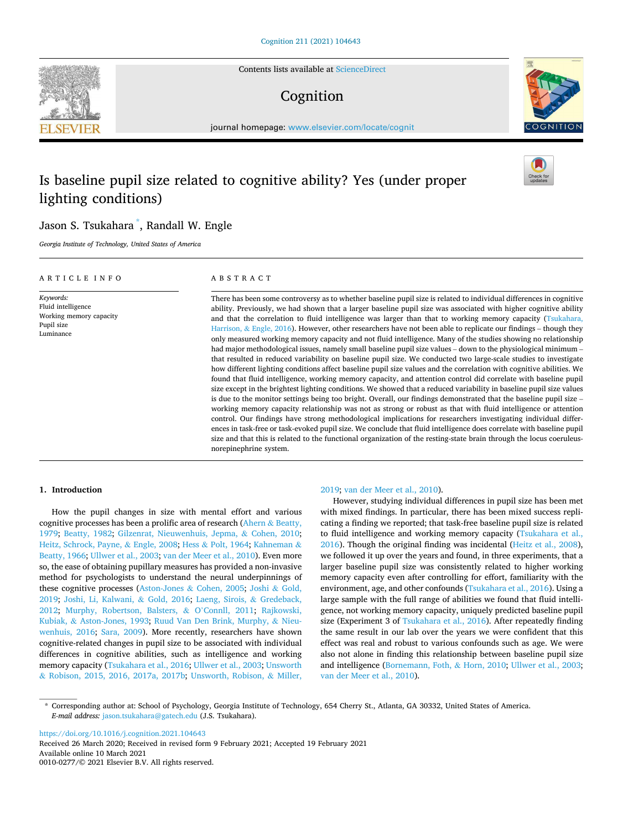Contents lists available at [ScienceDirect](www.sciencedirect.com/science/journal/00100277)

## Cognition

journal homepage: [www.elsevier.com/locate/cognit](https://www.elsevier.com/locate/cognit)

# Is baseline pupil size related to cognitive ability? Yes (under proper lighting conditions)

## Jason S. Tsukahara \* , Randall W. Engle

*Georgia Institute of Technology, United States of America* 

#### A R T I C L E I N F O

*Keywords:*  Fluid intelligence Working memory capacity Pupil size Luminance

## ABSTRACT

There has been some controversy as to whether baseline pupil size is related to individual differences in cognitive ability. Previously, we had shown that a larger baseline pupil size was associated with higher cognitive ability and that the correlation to fluid intelligence was larger than that to working memory capacity (Tsukahara, Harrison, & [Engle, 2016\)](#page-17-0). However, other researchers have not been able to replicate our findings – though they only measured working memory capacity and not fluid intelligence. Many of the studies showing no relationship had major methodological issues, namely small baseline pupil size values – down to the physiological minimum – that resulted in reduced variability on baseline pupil size. We conducted two large-scale studies to investigate how different lighting conditions affect baseline pupil size values and the correlation with cognitive abilities. We found that fluid intelligence, working memory capacity, and attention control did correlate with baseline pupil size except in the brightest lighting conditions. We showed that a reduced variability in baseline pupil size values is due to the monitor settings being too bright. Overall, our findings demonstrated that the baseline pupil size – working memory capacity relationship was not as strong or robust as that with fluid intelligence or attention control. Our findings have strong methodological implications for researchers investigating individual differences in task-free or task-evoked pupil size. We conclude that fluid intelligence does correlate with baseline pupil size and that this is related to the functional organization of the resting-state brain through the locus coeruleusnorepinephrine system.

## **1. Introduction**

How the pupil changes in size with mental effort and various cognitive processes has been a prolific area of research (Ahern & [Beatty,](#page-16-0)  [1979;](#page-16-0) [Beatty, 1982](#page-16-0); [Gilzenrat, Nieuwenhuis, Jepma,](#page-16-0) & Cohen, 2010; [Heitz, Schrock, Payne,](#page-17-0) & Engle, 2008; Hess & [Polt, 1964](#page-17-0); [Kahneman](#page-17-0) & [Beatty, 1966](#page-17-0); [Ullwer et al., 2003; van der Meer et al., 2010\)](#page-17-0). Even more so, the ease of obtaining pupillary measures has provided a non-invasive method for psychologists to understand the neural underpinnings of these cognitive processes (Aston-Jones & [Cohen, 2005;](#page-16-0) [Joshi](#page-17-0) & Gold, [2019;](#page-17-0) [Joshi, Li, Kalwani,](#page-17-0) & Gold, 2016; [Laeng, Sirois,](#page-17-0) & Gredeback, [2012;](#page-17-0) [Murphy, Robertson, Balsters,](#page-17-0) & O'Connll, 2011; [Rajkowski,](#page-17-0)  Kubiak, & [Aston-Jones, 1993](#page-17-0); [Ruud Van Den Brink, Murphy,](#page-17-0) & Nieu[wenhuis, 2016;](#page-17-0) [Sara, 2009](#page-17-0)). More recently, researchers have shown cognitive-related changes in pupil size to be associated with individual differences in cognitive abilities, such as intelligence and working memory capacity [\(Tsukahara et al., 2016; Ullwer et al., 2003](#page-17-0); [Unsworth](#page-17-0)  & [Robison, 2015, 2016, 2017a, 2017b](#page-17-0); [Unsworth, Robison,](#page-17-0) & Miller,

#### [2019; van der Meer et al., 2010\)](#page-17-0).

However, studying individual differences in pupil size has been met with mixed findings. In particular, there has been mixed success replicating a finding we reported; that task-free baseline pupil size is related to fluid intelligence and working memory capacity [\(Tsukahara et al.,](#page-17-0)  [2016\)](#page-17-0). Though the original finding was incidental [\(Heitz et al., 2008](#page-17-0)), we followed it up over the years and found, in three experiments, that a larger baseline pupil size was consistently related to higher working memory capacity even after controlling for effort, familiarity with the environment, age, and other confounds ([Tsukahara et al., 2016\)](#page-17-0). Using a large sample with the full range of abilities we found that fluid intelligence, not working memory capacity, uniquely predicted baseline pupil size (Experiment 3 of [Tsukahara et al., 2016\)](#page-17-0). After repeatedly finding the same result in our lab over the years we were confident that this effect was real and robust to various confounds such as age. We were also not alone in finding this relationship between baseline pupil size and intelligence ([Bornemann, Foth,](#page-16-0) & Horn, 2010; [Ullwer et al., 2003](#page-17-0); [van der Meer et al., 2010](#page-17-0)).

<https://doi.org/10.1016/j.cognition.2021.104643>

Available online 10 March 2021 0010-0277/© 2021 Elsevier B.V. All rights reserved. Received 26 March 2020; Received in revised form 9 February 2021; Accepted 19 February 2021







<sup>\*</sup> Corresponding author at: School of Psychology, Georgia Institute of Technology, 654 Cherry St., Atlanta, GA 30332, United States of America. *E-mail address:* [jason.tsukahara@gatech.edu](mailto:jason.tsukahara@gatech.edu) (J.S. Tsukahara).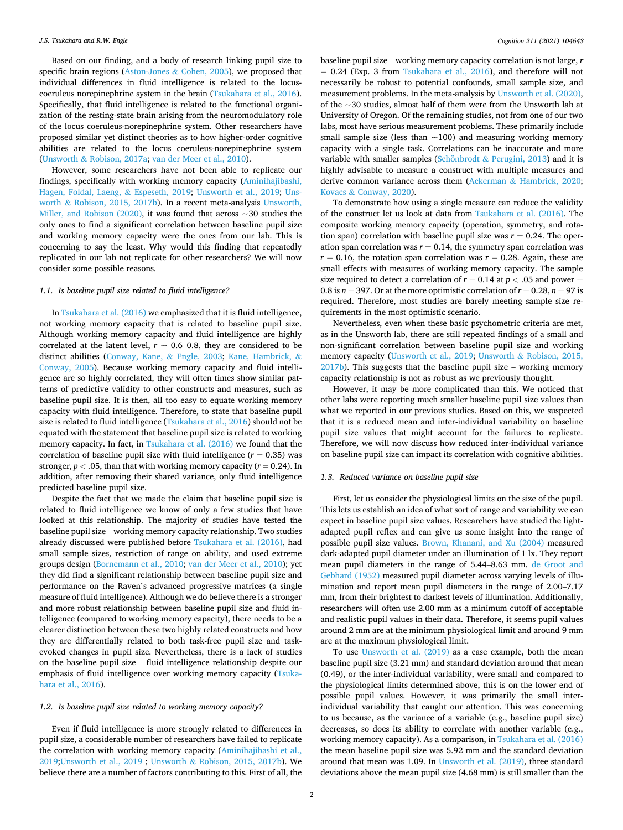Based on our finding, and a body of research linking pupil size to specific brain regions (Aston-Jones & [Cohen, 2005\)](#page-16-0), we proposed that individual differences in fluid intelligence is related to the locuscoeruleus norepinephrine system in the brain ([Tsukahara et al., 2016](#page-17-0)). Specifically, that fluid intelligence is related to the functional organization of the resting-state brain arising from the neuromodulatory role of the locus coeruleus-norepinephrine system. Other researchers have proposed similar yet distinct theories as to how higher-order cognitive abilities are related to the locus coeruleus-norepinephrine system (Unsworth & [Robison, 2017a;](#page-17-0) [van der Meer et al., 2010](#page-17-0)).

However, some researchers have not been able to replicate our findings, specifically with working memory capacity ([Aminihajibashi,](#page-16-0)  [Hagen, Foldal, Laeng,](#page-16-0) & Espeseth, 2019; [Unsworth et al., 2019](#page-17-0); [Uns](#page-17-0)worth & [Robison, 2015, 2017b](#page-17-0)). In a recent meta-analysis [Unsworth,](#page-17-0)  [Miller, and Robison \(2020\),](#page-17-0) it was found that across ~30 studies the only ones to find a significant correlation between baseline pupil size and working memory capacity were the ones from our lab. This is concerning to say the least. Why would this finding that repeatedly replicated in our lab not replicate for other researchers? We will now consider some possible reasons.

## *1.1. Is baseline pupil size related to fluid intelligence?*

In [Tsukahara et al. \(2016\)](#page-17-0) we emphasized that it is fluid intelligence, not working memory capacity that is related to baseline pupil size. Although working memory capacity and fluid intelligence are highly correlated at the latent level,  $r \sim 0.6-0.8$ , they are considered to be distinct abilities ([Conway, Kane,](#page-16-0) & Engle, 2003; [Kane, Hambrick,](#page-17-0) & [Conway, 2005\)](#page-17-0). Because working memory capacity and fluid intelligence are so highly correlated, they will often times show similar patterns of predictive validity to other constructs and measures, such as baseline pupil size. It is then, all too easy to equate working memory capacity with fluid intelligence. Therefore, to state that baseline pupil size is related to fluid intelligence [\(Tsukahara et al., 2016\)](#page-17-0) should not be equated with the statement that baseline pupil size is related to working memory capacity. In fact, in [Tsukahara et al. \(2016\)](#page-17-0) we found that the correlation of baseline pupil size with fluid intelligence  $(r = 0.35)$  was stronger,  $p < .05$ , than that with working memory capacity ( $r = 0.24$ ). In addition, after removing their shared variance, only fluid intelligence predicted baseline pupil size.

Despite the fact that we made the claim that baseline pupil size is related to fluid intelligence we know of only a few studies that have looked at this relationship. The majority of studies have tested the baseline pupil size – working memory capacity relationship. Two studies already discussed were published before [Tsukahara et al. \(2016\)](#page-17-0), had small sample sizes, restriction of range on ability, and used extreme groups design [\(Bornemann et al., 2010](#page-16-0); [van der Meer et al., 2010](#page-17-0)); yet they did find a significant relationship between baseline pupil size and performance on the Raven's advanced progressive matrices (a single measure of fluid intelligence). Although we do believe there is a stronger and more robust relationship between baseline pupil size and fluid intelligence (compared to working memory capacity), there needs to be a clearer distinction between these two highly related constructs and how they are differentially related to both task-free pupil size and taskevoked changes in pupil size. Nevertheless, there is a lack of studies on the baseline pupil size – fluid intelligence relationship despite our emphasis of fluid intelligence over working memory capacity [\(Tsuka](#page-17-0)[hara et al., 2016](#page-17-0)).

#### *1.2. Is baseline pupil size related to working memory capacity?*

Even if fluid intelligence is more strongly related to differences in pupil size, a considerable number of researchers have failed to replicate the correlation with working memory capacity ([Aminihajibashi et al.,](#page-16-0)  [2019;](#page-16-0)[Unsworth et al., 2019](#page-17-0) ; Unsworth & [Robison, 2015, 2017b](#page-17-0)). We believe there are a number of factors contributing to this. First of all, the

baseline pupil size – working memory capacity correlation is not large, *r*   $= 0.24$  (Exp. 3 from [Tsukahara et al., 2016](#page-17-0)), and therefore will not necessarily be robust to potential confounds, small sample size, and measurement problems. In the meta-analysis by [Unsworth et al. \(2020\)](#page-17-0), of the ~30 studies, almost half of them were from the Unsworth lab at University of Oregon. Of the remaining studies, not from one of our two labs, most have serious measurement problems. These primarily include small sample size (less than  $\sim$ 100) and measuring working memory capacity with a single task. Correlations can be inaccurate and more variable with smaller samples (Schönbrodt  $&$  [Perugini, 2013\)](#page-17-0) and it is highly advisable to measure a construct with multiple measures and derive common variance across them (Ackerman & [Hambrick, 2020](#page-16-0); Kovacs & [Conway, 2020](#page-17-0)).

To demonstrate how using a single measure can reduce the validity of the construct let us look at data from [Tsukahara et al. \(2016\)](#page-17-0). The composite working memory capacity (operation, symmetry, and rotation span) correlation with baseline pupil size was  $r = 0.24$ . The operation span correlation was  $r = 0.14$ , the symmetry span correlation was  $r = 0.16$ , the rotation span correlation was  $r = 0.28$ . Again, these are small effects with measures of working memory capacity. The sample size required to detect a correlation of  $r = 0.14$  at  $p < .05$  and power  $=$ 0.8 is  $n = 397$ . Or at the more optimistic correlation of  $r = 0.28$ ,  $n = 97$  is required. Therefore, most studies are barely meeting sample size requirements in the most optimistic scenario.

Nevertheless, even when these basic psychometric criteria are met, as in the Unsworth lab, there are still repeated findings of a small and non-significant correlation between baseline pupil size and working memory capacity ([Unsworth et al., 2019](#page-17-0); Unsworth & [Robison, 2015,](#page-17-0)  [2017b\)](#page-17-0). This suggests that the baseline pupil size – working memory capacity relationship is not as robust as we previously thought.

However, it may be more complicated than this. We noticed that other labs were reporting much smaller baseline pupil size values than what we reported in our previous studies. Based on this, we suspected that it is a reduced mean and inter-individual variability on baseline pupil size values that might account for the failures to replicate. Therefore, we will now discuss how reduced inter-individual variance on baseline pupil size can impact its correlation with cognitive abilities.

## *1.3. Reduced variance on baseline pupil size*

First, let us consider the physiological limits on the size of the pupil. This lets us establish an idea of what sort of range and variability we can expect in baseline pupil size values. Researchers have studied the lightadapted pupil reflex and can give us some insight into the range of possible pupil size values. [Brown, Khanani, and Xu \(2004\)](#page-16-0) measured dark-adapted pupil diameter under an illumination of 1 lx. They report mean pupil diameters in the range of 5.44–8.63 mm. [de Groot and](#page-17-0)  [Gebhard \(1952\)](#page-17-0) measured pupil diameter across varying levels of illumination and report mean pupil diameters in the range of 2.00–7.17 mm, from their brightest to darkest levels of illumination. Additionally, researchers will often use 2.00 mm as a minimum cutoff of acceptable and realistic pupil values in their data. Therefore, it seems pupil values around 2 mm are at the minimum physiological limit and around 9 mm are at the maximum physiological limit.

To use [Unsworth et al. \(2019\)](#page-17-0) as a case example, both the mean baseline pupil size (3.21 mm) and standard deviation around that mean (0.49), or the inter-individual variability, were small and compared to the physiological limits determined above, this is on the lower end of possible pupil values. However, it was primarily the small interindividual variability that caught our attention. This was concerning to us because, as the variance of a variable (e.g., baseline pupil size) decreases, so does its ability to correlate with another variable (e.g., working memory capacity). As a comparison, in [Tsukahara et al. \(2016\)](#page-17-0)  the mean baseline pupil size was 5.92 mm and the standard deviation around that mean was 1.09. In [Unsworth et al. \(2019\)](#page-17-0), three standard deviations above the mean pupil size (4.68 mm) is still smaller than the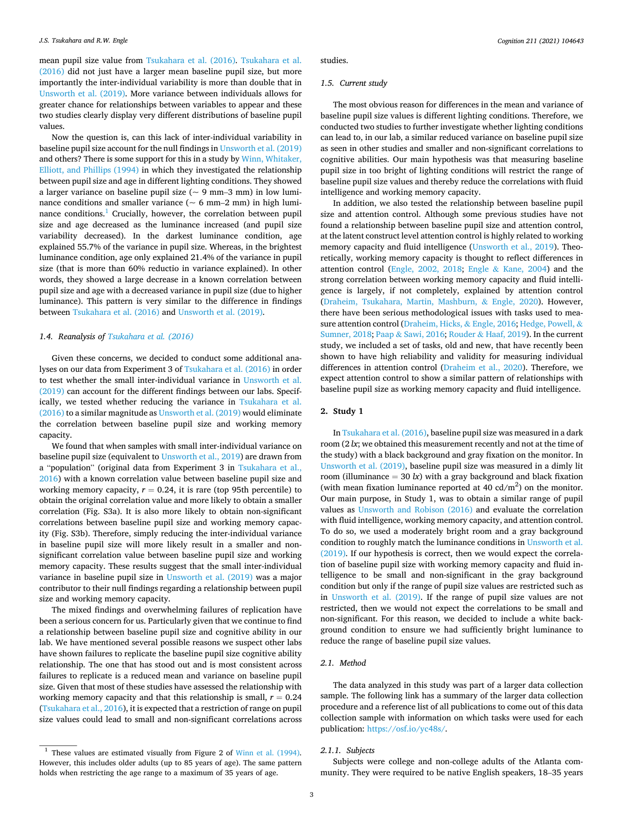mean pupil size value from [Tsukahara et al. \(2016\)](#page-17-0). [Tsukahara et al.](#page-17-0)  [\(2016\)](#page-17-0) did not just have a larger mean baseline pupil size, but more importantly the inter-individual variability is more than double that in [Unsworth et al. \(2019\).](#page-17-0) More variance between individuals allows for greater chance for relationships between variables to appear and these two studies clearly display very different distributions of baseline pupil values.

Now the question is, can this lack of inter-individual variability in baseline pupil size account for the null findings in [Unsworth et al. \(2019\)](#page-17-0)  and others? There is some support for this in a study by [Winn, Whitaker,](#page-18-0)  [Elliott, and Phillips \(1994\)](#page-18-0) in which they investigated the relationship between pupil size and age in different lighting conditions. They showed a larger variance on baseline pupil size ( $\sim$  9 mm–3 mm) in low luminance conditions and smaller variance ( $\sim$  6 mm–2 mm) in high luminance conditions. $<sup>1</sup>$  Crucially, however, the correlation between pupil</sup> size and age decreased as the luminance increased (and pupil size variability decreased). In the darkest luminance condition, age explained 55.7% of the variance in pupil size. Whereas, in the brightest luminance condition, age only explained 21.4% of the variance in pupil size (that is more than 60% reductio in variance explained). In other words, they showed a large decrease in a known correlation between pupil size and age with a decreased variance in pupil size (due to higher luminance). This pattern is very similar to the difference in findings between [Tsukahara et al. \(2016\)](#page-17-0) and [Unsworth et al. \(2019\)](#page-17-0).

#### *1.4. Reanalysis of [Tsukahara et al. \(2016\)](#page-17-0)*

Given these concerns, we decided to conduct some additional analyses on our data from Experiment 3 of [Tsukahara et al. \(2016\)](#page-17-0) in order to test whether the small inter-individual variance in [Unsworth et al.](#page-17-0)  [\(2019\)](#page-17-0) can account for the different findings between our labs. Specifically, we tested whether reducing the variance in [Tsukahara et al.](#page-17-0)  [\(2016\)](#page-17-0) to a similar magnitude as [Unsworth et al. \(2019\)](#page-17-0) would eliminate the correlation between baseline pupil size and working memory capacity.

We found that when samples with small inter-individual variance on baseline pupil size (equivalent to [Unsworth et al., 2019\)](#page-17-0) are drawn from a "population" (original data from Experiment 3 in [Tsukahara et al.,](#page-17-0)  [2016\)](#page-17-0) with a known correlation value between baseline pupil size and working memory capacity,  $r = 0.24$ , it is rare (top 95th percentile) to obtain the original correlation value and more likely to obtain a smaller correlation (Fig. S3a). It is also more likely to obtain non-significant correlations between baseline pupil size and working memory capacity (Fig. S3b). Therefore, simply reducing the inter-individual variance in baseline pupil size will more likely result in a smaller and nonsignificant correlation value between baseline pupil size and working memory capacity. These results suggest that the small inter-individual variance in baseline pupil size in [Unsworth et al. \(2019\)](#page-17-0) was a major contributor to their null findings regarding a relationship between pupil size and working memory capacity.

The mixed findings and overwhelming failures of replication have been a serious concern for us. Particularly given that we continue to find a relationship between baseline pupil size and cognitive ability in our lab. We have mentioned several possible reasons we suspect other labs have shown failures to replicate the baseline pupil size cognitive ability relationship. The one that has stood out and is most consistent across failures to replicate is a reduced mean and variance on baseline pupil size. Given that most of these studies have assessed the relationship with working memory capacity and that this relationship is small, *r* = 0.24 ([Tsukahara et al., 2016](#page-17-0)), it is expected that a restriction of range on pupil size values could lead to small and non-significant correlations across

studies.

### *1.5. Current study*

The most obvious reason for differences in the mean and variance of baseline pupil size values is different lighting conditions. Therefore, we conducted two studies to further investigate whether lighting conditions can lead to, in our lab, a similar reduced variance on baseline pupil size as seen in other studies and smaller and non-significant correlations to cognitive abilities. Our main hypothesis was that measuring baseline pupil size in too bright of lighting conditions will restrict the range of baseline pupil size values and thereby reduce the correlations with fluid intelligence and working memory capacity.

In addition, we also tested the relationship between baseline pupil size and attention control. Although some previous studies have not found a relationship between baseline pupil size and attention control, at the latent construct level attention control is highly related to working memory capacity and fluid intelligence ([Unsworth et al., 2019\)](#page-17-0). Theoretically, working memory capacity is thought to reflect differences in attention control [\(Engle, 2002, 2018;](#page-16-0) Engle & [Kane, 2004\)](#page-16-0) and the strong correlation between working memory capacity and fluid intelligence is largely, if not completely, explained by attention control ([Draheim, Tsukahara, Martin, Mashburn,](#page-16-0) & Engle, 2020). However, there have been serious methodological issues with tasks used to measure attention control [\(Draheim, Hicks,](#page-16-0) & Engle, 2016; [Hedge, Powell,](#page-17-0) & [Sumner, 2018;](#page-17-0) Paap & [Sawi, 2016](#page-17-0); Rouder & [Haaf, 2019](#page-17-0)). In the current study, we included a set of tasks, old and new, that have recently been shown to have high reliability and validity for measuring individual differences in attention control [\(Draheim et al., 2020\)](#page-16-0). Therefore, we expect attention control to show a similar pattern of relationships with baseline pupil size as working memory capacity and fluid intelligence.

#### **2. Study 1**

In [Tsukahara et al. \(2016\),](#page-17-0) baseline pupil size was measured in a dark room (2 *lx*; we obtained this measurement recently and not at the time of the study) with a black background and gray fixation on the monitor. In [Unsworth et al. \(2019\)](#page-17-0), baseline pupil size was measured in a dimly lit room (illuminance  $=$  30  $k$ ) with a gray background and black fixation (with mean fixation luminance reported at 40  $\text{cd/m}^2$ ) on the monitor. Our main purpose, in Study 1, was to obtain a similar range of pupil values as [Unsworth and Robison \(2016\)](#page-17-0) and evaluate the correlation with fluid intelligence, working memory capacity, and attention control. To do so, we used a moderately bright room and a gray background condition to roughly match the luminance conditions in [Unsworth et al.](#page-17-0)  [\(2019\).](#page-17-0) If our hypothesis is correct, then we would expect the correlation of baseline pupil size with working memory capacity and fluid intelligence to be small and non-significant in the gray background condition but only if the range of pupil size values are restricted such as in [Unsworth et al. \(2019\)](#page-17-0). If the range of pupil size values are not restricted, then we would not expect the correlations to be small and non-significant. For this reason, we decided to include a white background condition to ensure we had sufficiently bright luminance to reduce the range of baseline pupil size values.

## *2.1. Method*

The data analyzed in this study was part of a larger data collection sample. The following link has a summary of the larger data collection procedure and a reference list of all publications to come out of this data collection sample with information on which tasks were used for each publication: [https://osf.io/yc48s/.](https://osf.io/yc48s/)

#### *2.1.1. Subjects*

Subjects were college and non-college adults of the Atlanta community. They were required to be native English speakers, 18–35 years

 $1$  These values are estimated visually from Figure 2 of [Winn et al. \(1994\).](#page-18-0) However, this includes older adults (up to 85 years of age). The same pattern holds when restricting the age range to a maximum of 35 years of age.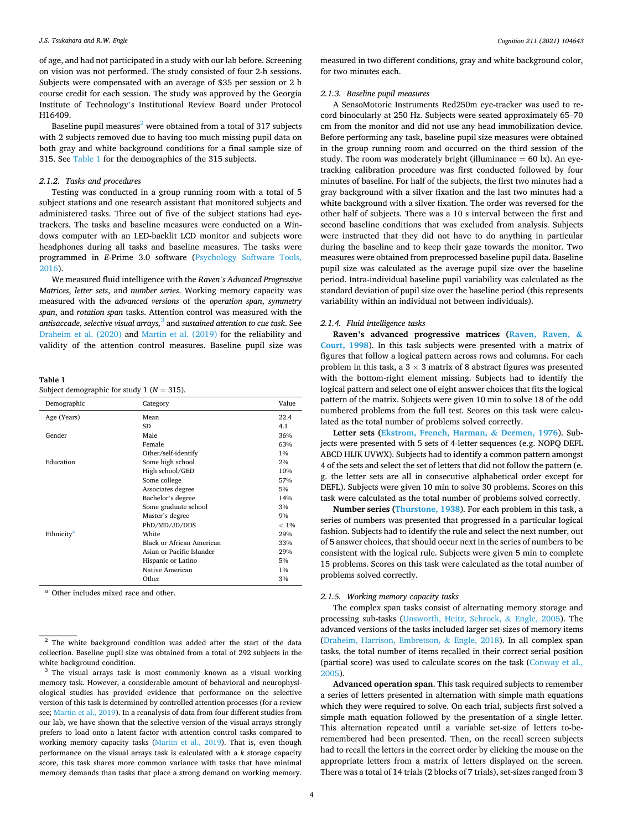of age, and had not participated in a study with our lab before. Screening on vision was not performed. The study consisted of four 2-h sessions. Subjects were compensated with an average of \$35 per session or 2 h course credit for each session. The study was approved by the Georgia Institute of Technology's Institutional Review Board under Protocol H16409.

Baseline pupil measures<sup>2</sup> were obtained from a total of 317 subjects with 2 subjects removed due to having too much missing pupil data on both gray and white background conditions for a final sample size of 315. See Table 1 for the demographics of the 315 subjects.

#### *2.1.2. Tasks and procedures*

Testing was conducted in a group running room with a total of 5 subject stations and one research assistant that monitored subjects and administered tasks. Three out of five of the subject stations had eyetrackers. The tasks and baseline measures were conducted on a Windows computer with an LED-backlit LCD monitor and subjects wore headphones during all tasks and baseline measures. The tasks were programmed in *E*-Prime 3.0 software ([Psychology Software Tools,](#page-17-0)  [2016\)](#page-17-0).

We measured fluid intelligence with the *Raven's Advanced Progressive Matrices*, *letter sets*, and *number series*. Working memory capacity was measured with the *advanced versions* of the *operation span*, *symmetry span*, and *rotation span* tasks. Attention control was measured with the *antisaccade*, *selective visual arrays,*3 and *sustained attention to cue task*. See [Draheim et al. \(2020\)](#page-16-0) and [Martin et al. \(2019\)](#page-17-0) for the reliability and validity of the attention control measures. Baseline pupil size was

**Table 1** 

Subject demographic for study 1 ( $N = 315$ ).

| Demographic            | Category                  | Value   |
|------------------------|---------------------------|---------|
| Age (Years)            | Mean                      | 22.4    |
|                        | <b>SD</b>                 | 4.1     |
| Gender                 | Male                      | 36%     |
|                        | Female                    | 63%     |
|                        | Other/self-identify       | 1%      |
| Education              | Some high school          | 2%      |
|                        | High school/GED           | 10%     |
|                        | Some college              | 57%     |
|                        | Associates degree         | 5%      |
|                        | Bachelor's degree         | 14%     |
|                        | Some graduate school      | 3%      |
|                        | Master's degree           | 9%      |
|                        | PhD/MD/JD/DDS             | $< 1\%$ |
| Ethnicity <sup>a</sup> | White                     | 29%     |
|                        | Black or African American | 33%     |
|                        | Asian or Pacific Islander | 29%     |
|                        | Hispanic or Latino        | 5%      |
|                        | Native American           | 1%      |
|                        | Other                     | 3%      |

<sup>a</sup> Other includes mixed race and other.

measured in two different conditions, gray and white background color, for two minutes each.

#### *2.1.3. Baseline pupil measures*

A SensoMotoric Instruments Red250m eye-tracker was used to record binocularly at 250 Hz. Subjects were seated approximately 65–70 cm from the monitor and did not use any head immobilization device. Before performing any task, baseline pupil size measures were obtained in the group running room and occurred on the third session of the study. The room was moderately bright (illuminance  $= 60 \text{ lx}$ ). An eyetracking calibration procedure was first conducted followed by four minutes of baseline. For half of the subjects, the first two minutes had a gray background with a silver fixation and the last two minutes had a white background with a silver fixation. The order was reversed for the other half of subjects. There was a 10 s interval between the first and second baseline conditions that was excluded from analysis. Subjects were instructed that they did not have to do anything in particular during the baseline and to keep their gaze towards the monitor. Two measures were obtained from preprocessed baseline pupil data. Baseline pupil size was calculated as the average pupil size over the baseline period. Intra-individual baseline pupil variability was calculated as the standard deviation of pupil size over the baseline period (this represents variability within an individual not between individuals).

## *2.1.4. Fluid intelligence tasks*

**Raven's advanced progressive matrices ([Raven, Raven,](#page-17-0) & [Court, 1998](#page-17-0)**). In this task subjects were presented with a matrix of figures that follow a logical pattern across rows and columns. For each problem in this task, a  $3 \times 3$  matrix of 8 abstract figures was presented with the bottom-right element missing. Subjects had to identify the logical pattern and select one of eight answer choices that fits the logical pattern of the matrix. Subjects were given 10 min to solve 18 of the odd numbered problems from the full test. Scores on this task were calculated as the total number of problems solved correctly.

**Letter sets ([Ekstrom, French, Harman,](#page-16-0) & Dermen, 1976**). Subjects were presented with 5 sets of 4-letter sequences (e.g. NOPQ DEFL ABCD HIJK UVWX). Subjects had to identify a common pattern amongst 4 of the sets and select the set of letters that did not follow the pattern (e. g. the letter sets are all in consecutive alphabetical order except for DEFL). Subjects were given 10 min to solve 30 problems. Scores on this task were calculated as the total number of problems solved correctly.

**Number series [\(Thurstone, 1938](#page-17-0)**). For each problem in this task, a series of numbers was presented that progressed in a particular logical fashion. Subjects had to identify the rule and select the next number, out of 5 answer choices, that should occur next in the series of numbers to be consistent with the logical rule. Subjects were given 5 min to complete 15 problems. Scores on this task were calculated as the total number of problems solved correctly.

#### *2.1.5. Working memory capacity tasks*

The complex span tasks consist of alternating memory storage and processing sub-tasks [\(Unsworth, Heitz, Schrock,](#page-17-0) & Engle, 2005). The advanced versions of the tasks included larger set-sizes of memory items ([Draheim, Harrison, Embretson,](#page-16-0) & Engle, 2018). In all complex span tasks, the total number of items recalled in their correct serial position (partial score) was used to calculate scores on the task ([Conway et al.,](#page-16-0)  [2005\)](#page-16-0).

**Advanced operation span**. This task required subjects to remember a series of letters presented in alternation with simple math equations which they were required to solve. On each trial, subjects first solved a simple math equation followed by the presentation of a single letter. This alternation repeated until a variable set-size of letters to-beremembered had been presented. Then, on the recall screen subjects had to recall the letters in the correct order by clicking the mouse on the appropriate letters from a matrix of letters displayed on the screen. There was a total of 14 trials (2 blocks of 7 trials), set-sizes ranged from 3

<sup>&</sup>lt;sup>2</sup> The white background condition was added after the start of the data collection. Baseline pupil size was obtained from a total of 292 subjects in the white background condition.

<sup>&</sup>lt;sup>3</sup> The visual arrays task is most commonly known as a visual working memory task. However, a considerable amount of behavioral and neurophysiological studies has provided evidence that performance on the selective version of this task is determined by controlled attention processes (for a review see; [Martin et al., 2019](#page-17-0)). In a reanalysis of data from four different studies from our lab, we have shown that the selective version of the visual arrays strongly prefers to load onto a latent factor with attention control tasks compared to working memory capacity tasks [\(Martin et al., 2019\)](#page-17-0). That is, even though performance on the visual arrays task is calculated with a *k* storage capacity score, this task shares more common variance with tasks that have minimal memory demands than tasks that place a strong demand on working memory.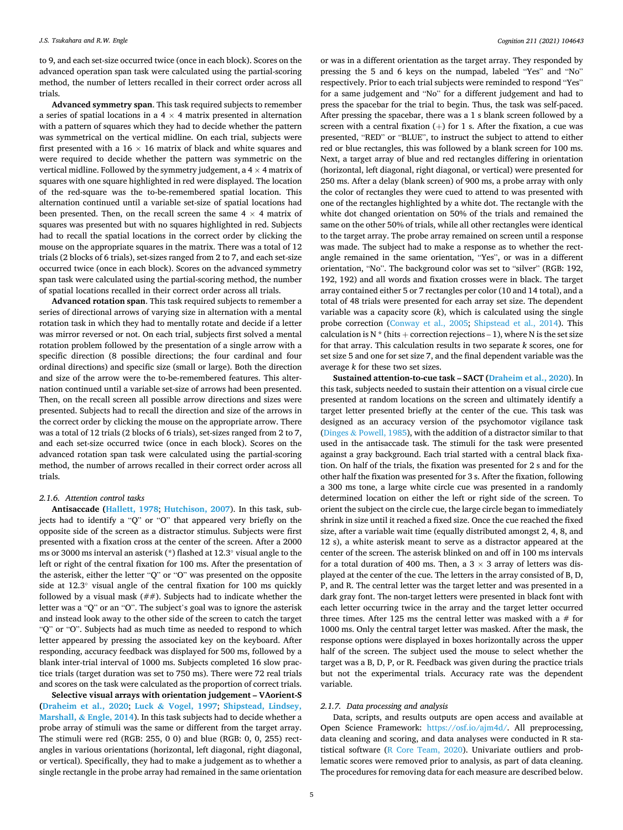to 9, and each set-size occurred twice (once in each block). Scores on the advanced operation span task were calculated using the partial-scoring method, the number of letters recalled in their correct order across all trials.

**Advanced symmetry span**. This task required subjects to remember a series of spatial locations in a 4  $\times$  4 matrix presented in alternation with a pattern of squares which they had to decide whether the pattern was symmetrical on the vertical midline. On each trial, subjects were first presented with a  $16 \times 16$  matrix of black and white squares and were required to decide whether the pattern was symmetric on the vertical midline. Followed by the symmetry judgement, a  $4 \times 4$  matrix of squares with one square highlighted in red were displayed. The location of the red-square was the to-be-remembered spatial location. This alternation continued until a variable set-size of spatial locations had been presented. Then, on the recall screen the same  $4 \times 4$  matrix of squares was presented but with no squares highlighted in red. Subjects had to recall the spatial locations in the correct order by clicking the mouse on the appropriate squares in the matrix. There was a total of 12 trials (2 blocks of 6 trials), set-sizes ranged from 2 to 7, and each set-size occurred twice (once in each block). Scores on the advanced symmetry span task were calculated using the partial-scoring method, the number of spatial locations recalled in their correct order across all trials.

**Advanced rotation span**. This task required subjects to remember a series of directional arrows of varying size in alternation with a mental rotation task in which they had to mentally rotate and decide if a letter was mirror reversed or not. On each trial, subjects first solved a mental rotation problem followed by the presentation of a single arrow with a specific direction (8 possible directions; the four cardinal and four ordinal directions) and specific size (small or large). Both the direction and size of the arrow were the to-be-remembered features. This alternation continued until a variable set-size of arrows had been presented. Then, on the recall screen all possible arrow directions and sizes were presented. Subjects had to recall the direction and size of the arrows in the correct order by clicking the mouse on the appropriate arrow. There was a total of 12 trials (2 blocks of 6 trials), set-sizes ranged from 2 to 7, and each set-size occurred twice (once in each block). Scores on the advanced rotation span task were calculated using the partial-scoring method, the number of arrows recalled in their correct order across all trials.

### *2.1.6. Attention control tasks*

**Antisaccade [\(Hallett, 1978](#page-17-0)**; **[Hutchison, 2007](#page-17-0)**). In this task, subjects had to identify a "Q" or "O" that appeared very briefly on the opposite side of the screen as a distractor stimulus. Subjects were first presented with a fixation cross at the center of the screen. After a 2000 ms or 3000 ms interval an asterisk (\*) flashed at 12.3◦ visual angle to the left or right of the central fixation for 100 ms. After the presentation of the asterisk, either the letter "Q" or "O" was presented on the opposite side at 12.3◦ visual angle of the central fixation for 100 ms quickly followed by a visual mask  $(\# \#)$ . Subjects had to indicate whether the letter was a "Q" or an "O". The subject's goal was to ignore the asterisk and instead look away to the other side of the screen to catch the target "Q" or "O". Subjects had as much time as needed to respond to which letter appeared by pressing the associated key on the keyboard. After responding, accuracy feedback was displayed for 500 ms, followed by a blank inter-trial interval of 1000 ms. Subjects completed 16 slow practice trials (target duration was set to 750 ms). There were 72 real trials and scores on the task were calculated as the proportion of correct trials.

**Selective visual arrays with orientation judgement – VAorient-S ([Draheim et al., 2020](#page-16-0)**; **Luck & [Vogel, 1997](#page-17-0)**; **[Shipstead, Lindsey,](#page-17-0)  Marshall, & [Engle, 2014](#page-17-0)**). In this task subjects had to decide whether a probe array of stimuli was the same or different from the target array. The stimuli were red (RGB: 255, 0 0) and blue (RGB: 0, 0, 255) rectangles in various orientations (horizontal, left diagonal, right diagonal, or vertical). Specifically, they had to make a judgement as to whether a single rectangle in the probe array had remained in the same orientation

or was in a different orientation as the target array. They responded by pressing the 5 and 6 keys on the numpad, labeled "Yes" and "No" respectively. Prior to each trial subjects were reminded to respond "Yes" for a same judgement and "No" for a different judgement and had to press the spacebar for the trial to begin. Thus, the task was self-paced. After pressing the spacebar, there was a 1 s blank screen followed by a screen with a central fixation  $(+)$  for 1 s. After the fixation, a cue was presented, "RED" or "BLUE", to instruct the subject to attend to either red or blue rectangles, this was followed by a blank screen for 100 ms. Next, a target array of blue and red rectangles differing in orientation (horizontal, left diagonal, right diagonal, or vertical) were presented for 250 ms. After a delay (blank screen) of 900 ms, a probe array with only the color of rectangles they were cued to attend to was presented with one of the rectangles highlighted by a white dot. The rectangle with the white dot changed orientation on 50% of the trials and remained the same on the other 50% of trials, while all other rectangles were identical to the target array. The probe array remained on screen until a response was made. The subject had to make a response as to whether the rectangle remained in the same orientation, "Yes", or was in a different orientation, "No". The background color was set to "silver" (RGB: 192, 192, 192) and all words and fixation crosses were in black. The target array contained either 5 or 7 rectangles per color (10 and 14 total), and a total of 48 trials were presented for each array set size. The dependent variable was a capacity score  $(k)$ , which is calculated using the single probe correction ([Conway et al., 2005;](#page-16-0) [Shipstead et al., 2014\)](#page-17-0). This calculation is N  $*$  (hits + correction rejections – 1), where N is the set size for that array. This calculation results in two separate *k* scores, one for set size 5 and one for set size 7, and the final dependent variable was the average *k* for these two set sizes.

**Sustained attention-to-cue task – SACT ([Draheim et al., 2020](#page-16-0)**). In this task, subjects needed to sustain their attention on a visual circle cue presented at random locations on the screen and ultimately identify a target letter presented briefly at the center of the cue. This task was designed as an accuracy version of the psychomotor vigilance task (Dinges & [Powell, 1985](#page-16-0)), with the addition of a distractor similar to that used in the antisaccade task. The stimuli for the task were presented against a gray background. Each trial started with a central black fixation. On half of the trials, the fixation was presented for 2 s and for the other half the fixation was presented for 3 s. After the fixation, following a 300 ms tone, a large white circle cue was presented in a randomly determined location on either the left or right side of the screen. To orient the subject on the circle cue, the large circle began to immediately shrink in size until it reached a fixed size. Once the cue reached the fixed size, after a variable wait time (equally distributed amongst 2, 4, 8, and 12 s), a white asterisk meant to serve as a distractor appeared at the center of the screen. The asterisk blinked on and off in 100 ms intervals for a total duration of 400 ms. Then, a  $3 \times 3$  array of letters was displayed at the center of the cue. The letters in the array consisted of B, D, P, and R. The central letter was the target letter and was presented in a dark gray font. The non-target letters were presented in black font with each letter occurring twice in the array and the target letter occurred three times. After 125 ms the central letter was masked with a  $#$  for 1000 ms. Only the central target letter was masked. After the mask, the response options were displayed in boxes horizontally across the upper half of the screen. The subject used the mouse to select whether the target was a B, D, P, or R. Feedback was given during the practice trials but not the experimental trials. Accuracy rate was the dependent variable.

#### *2.1.7. Data processing and analysis*

Data, scripts, and results outputs are open access and available at Open Science Framework: <https://osf.io/ajm4d/>. All preprocessing, data cleaning and scoring, and data analyses were conducted in R statistical software [\(R Core Team, 2020](#page-17-0)). Univariate outliers and problematic scores were removed prior to analysis, as part of data cleaning. The procedures for removing data for each measure are described below.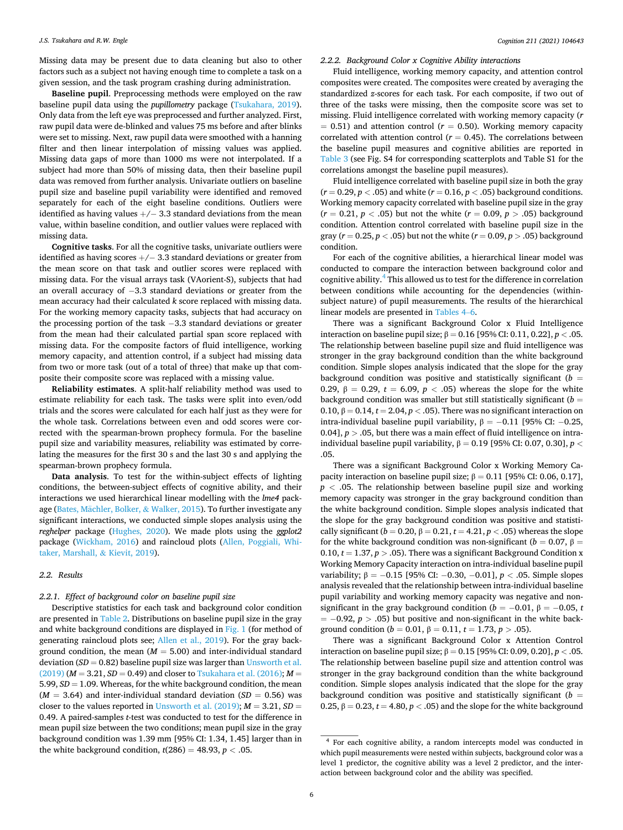Missing data may be present due to data cleaning but also to other factors such as a subject not having enough time to complete a task on a given session, and the task program crashing during administration.

**Baseline pupil**. Preprocessing methods were employed on the raw baseline pupil data using the *pupillometry* package ([Tsukahara, 2019](#page-17-0)). Only data from the left eye was preprocessed and further analyzed. First, raw pupil data were de-blinked and values 75 ms before and after blinks were set to missing. Next, raw pupil data were smoothed with a hanning filter and then linear interpolation of missing values was applied. Missing data gaps of more than 1000 ms were not interpolated. If a subject had more than 50% of missing data, then their baseline pupil data was removed from further analysis. Univariate outliers on baseline pupil size and baseline pupil variability were identified and removed separately for each of the eight baseline conditions. Outliers were identified as having values  $+/-$  3.3 standard deviations from the mean value, within baseline condition, and outlier values were replaced with missing data.

**Cognitive tasks**. For all the cognitive tasks, univariate outliers were identified as having scores  $+/-$  3.3 standard deviations or greater from the mean score on that task and outlier scores were replaced with missing data. For the visual arrays task (VAorient-S), subjects that had an overall accuracy of −3.3 standard deviations or greater from the mean accuracy had their calculated *k* score replaced with missing data. For the working memory capacity tasks, subjects that had accuracy on the processing portion of the task −3.3 standard deviations or greater from the mean had their calculated partial span score replaced with missing data. For the composite factors of fluid intelligence, working memory capacity, and attention control, if a subject had missing data from two or more task (out of a total of three) that make up that composite their composite score was replaced with a missing value.

**Reliability estimates**. A split-half reliability method was used to estimate reliability for each task. The tasks were split into even/odd trials and the scores were calculated for each half just as they were for the whole task. Correlations between even and odd scores were corrected with the spearman-brown prophecy formula. For the baseline pupil size and variability measures, reliability was estimated by correlating the measures for the first 30 s and the last 30 s and applying the spearman-brown prophecy formula.

**Data analysis**. To test for the within-subject effects of lighting conditions, the between-subject effects of cognitive ability, and their interactions we used hierarchical linear modelling with the *lme4* package (Bates, Mächler, Bolker, & Walker, 2015). To further investigate any significant interactions, we conducted simple slopes analysis using the *reghelper* package [\(Hughes, 2020\)](#page-17-0). We made plots using the *ggplot2*  package ([Wickham, 2016\)](#page-18-0) and raincloud plots [\(Allen, Poggiali, Whi](#page-16-0)[taker, Marshall,](#page-16-0) & Kievit, 2019).

## *2.2. Results*

*2.2.1. Effect of background color on baseline pupil size* 

Descriptive statistics for each task and background color condition are presented in [Table 2.](#page-6-0) Distributions on baseline pupil size in the gray and white background conditions are displayed in [Fig. 1](#page-6-0) (for method of generating raincloud plots see; [Allen et al., 2019\)](#page-16-0). For the gray background condition, the mean  $(M = 5.00)$  and inter-individual standard deviation  $(SD = 0.82)$  baseline pupil size was larger than Unsworth et al.  $(2019)$   $(M = 3.21, SD = 0.49)$  and closer to Tsukahara et al.  $(2016)$ ;  $M =$ 5.99, *SD* = 1.09. Whereas, for the white background condition, the mean  $(M = 3.64)$  and inter-individual standard deviation  $(SD = 0.56)$  was closer to the values reported in [Unsworth et al. \(2019\);](#page-17-0)  $M = 3.21$ ,  $SD =$ 0.49. A paired-samples *t*-test was conducted to test for the difference in mean pupil size between the two conditions; mean pupil size in the gray background condition was 1.39 mm [95% CI: 1.34, 1.45] larger than in the white background condition,  $t(286) = 48.93$ ,  $p < .05$ .

## *2.2.2. Background Color x Cognitive Ability interactions*

Fluid intelligence, working memory capacity, and attention control composites were created. The composites were created by averaging the standardized *z*-scores for each task. For each composite, if two out of three of the tasks were missing, then the composite score was set to missing. Fluid intelligence correlated with working memory capacity (*r*   $= 0.51$ ) and attention control ( $r = 0.50$ ). Working memory capacity correlated with attention control ( $r = 0.45$ ). The correlations between the baseline pupil measures and cognitive abilities are reported in [Table 3](#page-6-0) (see Fig. S4 for corresponding scatterplots and Table S1 for the correlations amongst the baseline pupil measures).

Fluid intelligence correlated with baseline pupil size in both the gray  $(r = 0.29, p < .05)$  and white  $(r = 0.16, p < .05)$  background conditions. Working memory capacity correlated with baseline pupil size in the gray  $(r = 0.21, p < .05)$  but not the white  $(r = 0.09, p > .05)$  background condition. Attention control correlated with baseline pupil size in the gray ( $r = 0.25$ ,  $p < .05$ ) but not the white ( $r = 0.09$ ,  $p > .05$ ) background condition.

For each of the cognitive abilities, a hierarchical linear model was conducted to compare the interaction between background color and cognitive ability.4 This allowed us to test for the difference in correlation between conditions while accounting for the dependencies (withinsubject nature) of pupil measurements. The results of the hierarchical linear models are presented in [Tables 4](#page-7-0)–6.

There was a significant Background Color x Fluid Intelligence interaction on baseline pupil size; β = 0.16 [95% CI: 0.11, 0.22], *p <* .05. The relationship between baseline pupil size and fluid intelligence was stronger in the gray background condition than the white background condition. Simple slopes analysis indicated that the slope for the gray background condition was positive and statistically significant (*b* = 0.29,  $β = 0.29$ ,  $t = 6.09$ ,  $p < .05$ ) whereas the slope for the white background condition was smaller but still statistically significant (*b* = 0.10,  $β = 0.14$ ,  $t = 2.04$ ,  $p < .05$ ). There was no significant interaction on intra-individual baseline pupil variability,  $β = −0.11$  [95% CI:  $-0.25$ , 0.04],  $p > 0.05$ , but there was a main effect of fluid intelligence on intraindividual baseline pupil variability, β = 0.19 [95% CI: 0.07, 0.30], *p <* .05.

There was a significant Background Color x Working Memory Capacity interaction on baseline pupil size;  $β = 0.11$  [95% CI: 0.06, 0.17],  $p < .05$ . The relationship between baseline pupil size and working memory capacity was stronger in the gray background condition than the white background condition. Simple slopes analysis indicated that the slope for the gray background condition was positive and statistically significant ( $b = 0.20$ ,  $\beta = 0.21$ ,  $t = 4.21$ ,  $p < .05$ ) whereas the slope for the white background condition was non-significant ( $b = 0.07$ ,  $\beta =$ 0.10,  $t = 1.37$ ,  $p > .05$ ). There was a significant Background Condition x Working Memory Capacity interaction on intra-individual baseline pupil variability; β = −0.15 [95% CI: −0.30, −0.01], *p <* .05. Simple slopes analysis revealed that the relationship between intra-individual baseline pupil variability and working memory capacity was negative and nonsignificant in the gray background condition ( $b = -0.01$ ,  $\beta = -0.05$ , *t* = −0.92, *p >* .05) but positive and non-significant in the white background condition ( $b = 0.01$ ,  $\beta = 0.11$ ,  $t = 1.73$ ,  $p > .05$ ).

There was a significant Background Color x Attention Control interaction on baseline pupil size; β = 0.15 [95% CI: 0.09, 0.20], *p <* .05. The relationship between baseline pupil size and attention control was stronger in the gray background condition than the white background condition. Simple slopes analysis indicated that the slope for the gray background condition was positive and statistically significant (*b* = 0.25,  $β = 0.23, t = 4.80, p < .05$ ) and the slope for the white background

<sup>4</sup>For each cognitive ability, a random intercepts model was conducted in which pupil measurements were nested within subjects, background color was a level 1 predictor, the cognitive ability was a level 2 predictor, and the interaction between background color and the ability was specified.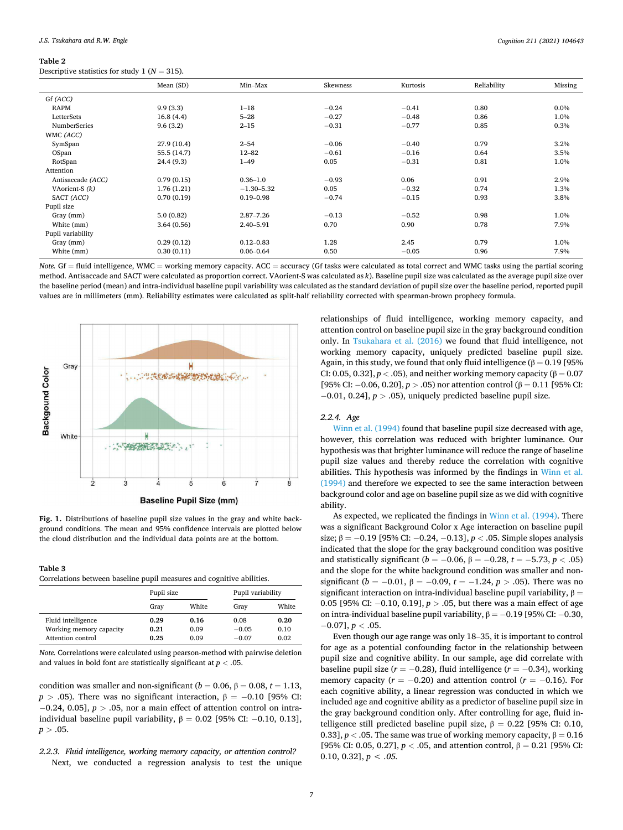<span id="page-6-0"></span>Descriptive statistics for study 1 ( $N = 315$ ).

| $\overline{\phantom{a}}$ |             |                |          |          |             |         |
|--------------------------|-------------|----------------|----------|----------|-------------|---------|
|                          | Mean (SD)   | Min-Max        | Skewness | Kurtosis | Reliability | Missing |
| Gf (ACC)                 |             |                |          |          |             |         |
| <b>RAPM</b>              | 9.9(3.3)    | $1 - 18$       | $-0.24$  | $-0.41$  | 0.80        | 0.0%    |
| LetterSets               | 16.8(4.4)   | $5 - 28$       | $-0.27$  | $-0.48$  | 0.86        | 1.0%    |
| <b>NumberSeries</b>      | 9.6(3.2)    | $2 - 15$       | $-0.31$  | $-0.77$  | 0.85        | 0.3%    |
| WMC (ACC)                |             |                |          |          |             |         |
| SymSpan                  | 27.9 (10.4) | $2 - 54$       | $-0.06$  | $-0.40$  | 0.79        | 3.2%    |
| OSpan                    | 55.5 (14.7) | $12 - 82$      | $-0.61$  | $-0.16$  | 0.64        | 3.5%    |
| RotSpan                  | 24.4 (9.3)  | $1 - 49$       | 0.05     | $-0.31$  | 0.81        | 1.0%    |
| Attention                |             |                |          |          |             |         |
| Antisaccade (ACC)        | 0.79(0.15)  | $0.36 - 1.0$   | $-0.93$  | 0.06     | 0.91        | 2.9%    |
| VAorient-S $(k)$         | 1.76(1.21)  | $-1.30 - 5.32$ | 0.05     | $-0.32$  | 0.74        | 1.3%    |
| SACT (ACC)               | 0.70(0.19)  | $0.19 - 0.98$  | $-0.74$  | $-0.15$  | 0.93        | 3.8%    |
| Pupil size               |             |                |          |          |             |         |
| Gray (mm)                | 5.0(0.82)   | $2.87 - 7.26$  | $-0.13$  | $-0.52$  | 0.98        | 1.0%    |
| White (mm)               | 3.64(0.56)  | 2.40-5.91      | 0.70     | 0.90     | 0.78        | 7.9%    |
| Pupil variability        |             |                |          |          |             |         |
| Gray (mm)                | 0.29(0.12)  | $0.12 - 0.83$  | 1.28     | 2.45     | 0.79        | 1.0%    |
| White (mm)               | 0.30(0.11)  | $0.06 - 0.64$  | 0.50     | $-0.05$  | 0.96        | 7.9%    |
|                          |             |                |          |          |             |         |

*Note.* Gf = fluid intelligence, WMC = working memory capacity. ACC = accuracy (Gf tasks were calculated as total correct and WMC tasks using the partial scoring method. Antisaccade and SACT were calculated as proportion correct. VAorient-S was calculated as *k*). Baseline pupil size was calculated as the average pupil size over the baseline period (mean) and intra-individual baseline pupil variability was calculated as the standard deviation of pupil size over the baseline period, reported pupil values are in millimeters (mm). Reliability estimates were calculated as split-half reliability corrected with spearman-brown prophecy formula.



**Fig. 1.** Distributions of baseline pupil size values in the gray and white background conditions. The mean and 95% confidence intervals are plotted below the cloud distribution and the individual data points are at the bottom.

#### **Table 3**

Correlations between baseline pupil measures and cognitive abilities.

|                         | Pupil size |       | Pupil variability |       |
|-------------------------|------------|-------|-------------------|-------|
|                         | Grav       | White | Gray              | White |
| Fluid intelligence      | 0.29       | 0.16  | 0.08              | 0.20  |
| Working memory capacity | 0.21       | 0.09  | $-0.05$           | 0.10  |
| Attention control       | 0.25       | 0.09  | $-0.07$           | 0.02  |

*Note.* Correlations were calculated using pearson-method with pairwise deletion and values in bold font are statistically significant at *p <* .05.

condition was smaller and non-significant ( $b = 0.06$ ,  $\beta = 0.08$ ,  $t = 1.13$ ,  $p > .05$ ). There was no significant interaction,  $\beta = -0.10$  [95% CI: −0.24, 0.05], *p >* .05, nor a main effect of attention control on intraindividual baseline pupil variability,  $β = 0.02$  [95% CI: -0.10, 0.13],  $p > .05$ .

*2.2.3. Fluid intelligence, working memory capacity, or attention control?*  Next, we conducted a regression analysis to test the unique relationships of fluid intelligence, working memory capacity, and attention control on baseline pupil size in the gray background condition only. In [Tsukahara et al. \(2016\)](#page-17-0) we found that fluid intelligence, not working memory capacity, uniquely predicted baseline pupil size. Again, in this study, we found that only fluid intelligence ( $\beta = 0.19$  [95% CI: 0.05, 0.32],  $p <$  .05), and neither working memory capacity ( $\beta = 0.07$ [95% CI: −0.06, 0.20], *p >* .05) nor attention control (β = 0.11 [95% CI: −0.01, 0.24], *p >* .05), uniquely predicted baseline pupil size.

#### *2.2.4. Age*

[Winn et al. \(1994\)](#page-18-0) found that baseline pupil size decreased with age, however, this correlation was reduced with brighter luminance. Our hypothesis was that brighter luminance will reduce the range of baseline pupil size values and thereby reduce the correlation with cognitive abilities. This hypothesis was informed by the findings in [Winn et al.](#page-18-0)  [\(1994\)](#page-18-0) and therefore we expected to see the same interaction between background color and age on baseline pupil size as we did with cognitive ability.

As expected, we replicated the findings in [Winn et al. \(1994\).](#page-18-0) There was a significant Background Color x Age interaction on baseline pupil size; β = −0.19 [95% CI: −0.24, −0.13], *p <* .05. Simple slopes analysis indicated that the slope for the gray background condition was positive and statistically significant (*b* = −0.06,  $β$  = −0.28, *t* = −5.73, *p* < .05) and the slope for the white background condition was smaller and nonsignificant ( $b = -0.01$ ,  $\beta = -0.09$ ,  $t = -1.24$ ,  $p > .05$ ). There was no significant interaction on intra-individual baseline pupil variability,  $β =$ 0.05 [95% CI: −0.10, 0.19], *p >* .05, but there was a main effect of age on intra-individual baseline pupil variability,  $β = -0.19$  [95% CI:  $-0.30$ , −0.07], *p <* .05.

Even though our age range was only 18–35, it is important to control for age as a potential confounding factor in the relationship between pupil size and cognitive ability. In our sample, age did correlate with baseline pupil size  $(r = -0.28)$ , fluid intelligence  $(r = -0.34)$ , working memory capacity ( $r = -0.20$ ) and attention control ( $r = -0.16$ ). For each cognitive ability, a linear regression was conducted in which we included age and cognitive ability as a predictor of baseline pupil size in the gray background condition only. After controlling for age, fluid intelligence still predicted baseline pupil size,  $β = 0.22$  [95% CI: 0.10, 0.33],  $p <$  0.05. The same was true of working memory capacity,  $\beta = 0.16$ [95% CI: 0.05, 0.27],  $p <$  0.05, and attention control,  $β = 0.21$  [95% CI: 0.10, 0.32],  $p < .05$ .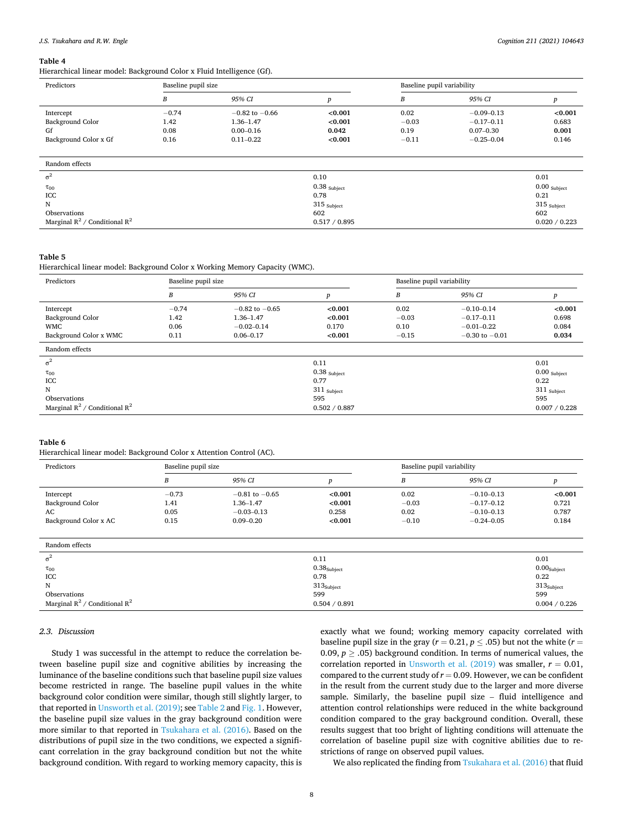<span id="page-7-0"></span>Hierarchical linear model: Background Color x Fluid Intelligence (Gf).

| Predictors<br>Baseline pupil size  |         |                    | Baseline pupil variability |         |                |                |
|------------------------------------|---------|--------------------|----------------------------|---------|----------------|----------------|
|                                    | B       | 95% CI             | p                          | B       | 95% CI         |                |
| Intercept                          | $-0.74$ | $-0.82$ to $-0.66$ | < 0.001                    | 0.02    | $-0.09 - 0.13$ | < 0.001        |
| Background Color                   | 1.42    | $1.36 - 1.47$      | < 0.001                    | $-0.03$ | $-0.17 - 0.11$ | 0.683          |
| Gf                                 | 0.08    | $0.00 - 0.16$      | 0.042                      | 0.19    | $0.07 - 0.30$  | 0.001          |
| Background Color x Gf              | 0.16    | $0.11 - 0.22$      | < 0.001                    | $-0.11$ | $-0.25 - 0.04$ | 0.146          |
|                                    |         |                    |                            |         |                |                |
| Random effects                     |         |                    |                            |         |                |                |
| $\sigma^2$                         |         |                    | 0.10                       |         |                | 0.01           |
| $\tau_{00}$                        |         |                    | $0.38$ Subject             |         |                | $0.00$ Subject |
| ICC                                |         |                    | 0.78                       |         |                | 0.21           |
| N                                  |         |                    | $315$ Subject              |         |                | $315$ Subject  |
| Observations                       |         |                    | 602                        |         |                | 602            |
| Marginal $R^2$ / Conditional $R^2$ |         |                    | 0.517 / 0.895              |         |                | 0.020 / 0.223  |

#### **Table 5**

Hierarchical linear model: Background Color x Working Memory Capacity (WMC).

| Predictors                         | Baseline pupil size |                    |                  | Baseline pupil variability |                    |                |
|------------------------------------|---------------------|--------------------|------------------|----------------------------|--------------------|----------------|
|                                    | B                   | 95% CI             | $\boldsymbol{p}$ | B                          | 95% CI             | p              |
| Intercept                          | $-0.74$             | $-0.82$ to $-0.65$ | < 0.001          | 0.02                       | $-0.10 - 0.14$     | < 0.001        |
| Background Color                   | 1.42                | $1.36 - 1.47$      | < 0.001          | $-0.03$                    | $-0.17 - 0.11$     | 0.698          |
| <b>WMC</b>                         | 0.06                | $-0.02 - 0.14$     | 0.170            | 0.10                       | $-0.01 - 0.22$     | 0.084          |
| Background Color x WMC             | 0.11                | $0.06 - 0.17$      | < 0.001          | $-0.15$                    | $-0.30$ to $-0.01$ | 0.034          |
| Random effects                     |                     |                    |                  |                            |                    |                |
| $\sigma^2$                         |                     |                    | 0.11             |                            |                    | 0.01           |
| $\tau_{00}$                        |                     |                    | $0.38$ Subject   |                            |                    | $0.00$ Subject |
| ICC                                |                     |                    | 0.77             |                            |                    | 0.22           |
| N                                  |                     |                    | $311$ Subject    |                            |                    | $311$ Subject  |
| Observations                       |                     |                    | 595              |                            |                    | 595            |
| Marginal $R^2$ / Conditional $R^2$ |                     |                    | 0.502 / 0.887    |                            |                    | 0.007 / 0.228  |

#### **Table 6**

Hierarchical linear model: Background Color x Attention Control (AC).

| Predictors            |         | Baseline pupil size |         |         | Baseline pupil variability |            |  |
|-----------------------|---------|---------------------|---------|---------|----------------------------|------------|--|
|                       |         | 95% CI              |         | В       | 95% CI                     |            |  |
| Intercept             | $-0.73$ | $-0.81$ to $-0.65$  | < 0.001 | 0.02    | $-0.10 - 0.13$             | ${<}0.001$ |  |
| Background Color      | 1.41    | 1.36–1.47           | < 0.001 | $-0.03$ | $-0.17 - 0.12$             | 0.721      |  |
| AC                    | 0.05    | $-0.03 - 0.13$      | 0.258   | 0.02    | $-0.10 - 0.13$             | 0.787      |  |
| Background Color x AC | 0.15    | $0.09 - 0.20$       | < 0.001 | $-0.10$ | $-0.24 - 0.05$             | 0.184      |  |

| Random effects                     |                         |                        |
|------------------------------------|-------------------------|------------------------|
| $\sigma^2$                         | 0.11                    | 0.01                   |
| $\tau_{00}$                        | 0.38 <sub>Subject</sub> | $0.00_{\rm Subject}$   |
| ICC                                | 0.78                    | 0.22                   |
| N                                  | 313 <sub>Subject</sub>  | 313 <sub>Subject</sub> |
| Observations                       | 599                     | 599                    |
| Marginal $R^2$ / Conditional $R^2$ | 0.504 / 0.891           | 0.004 / 0.226          |

## *2.3. Discussion*

Study 1 was successful in the attempt to reduce the correlation between baseline pupil size and cognitive abilities by increasing the luminance of the baseline conditions such that baseline pupil size values become restricted in range. The baseline pupil values in the white background color condition were similar, though still slightly larger, to that reported in [Unsworth et al. \(2019\);](#page-17-0) see [Table 2](#page-6-0) and [Fig. 1.](#page-6-0) However, the baseline pupil size values in the gray background condition were more similar to that reported in [Tsukahara et al. \(2016\).](#page-17-0) Based on the distributions of pupil size in the two conditions, we expected a significant correlation in the gray background condition but not the white background condition. With regard to working memory capacity, this is exactly what we found; working memory capacity correlated with baseline pupil size in the gray ( $r = 0.21$ ,  $p \le .05$ ) but not the white ( $r =$ 0.09,  $p \geq 0.05$ ) background condition. In terms of numerical values, the correlation reported in Unsworth et al.  $(2019)$  was smaller,  $r = 0.01$ , compared to the current study of  $r = 0.09$ . However, we can be confident in the result from the current study due to the larger and more diverse sample. Similarly, the baseline pupil size – fluid intelligence and attention control relationships were reduced in the white background condition compared to the gray background condition. Overall, these results suggest that too bright of lighting conditions will attenuate the correlation of baseline pupil size with cognitive abilities due to restrictions of range on observed pupil values.

We also replicated the finding from [Tsukahara et al. \(2016\)](#page-17-0) that fluid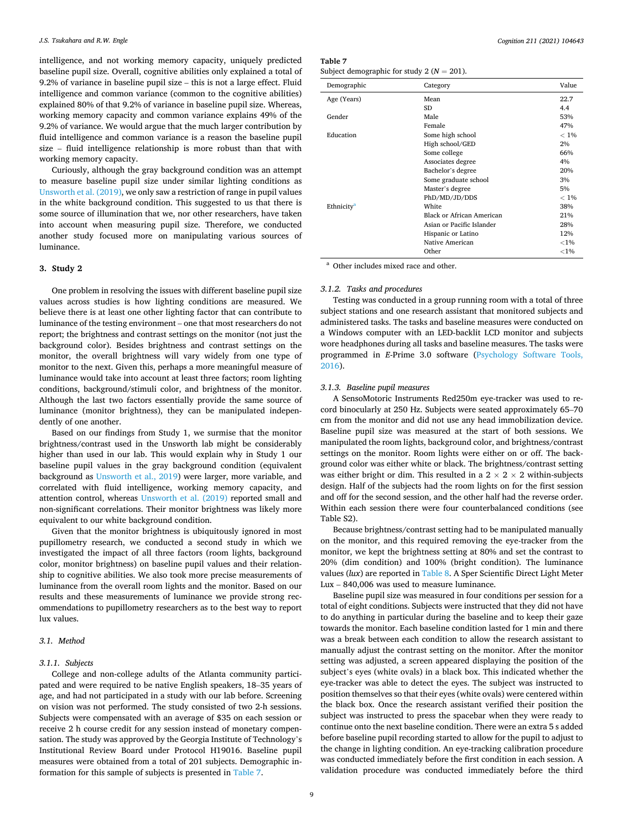intelligence, and not working memory capacity, uniquely predicted baseline pupil size. Overall, cognitive abilities only explained a total of 9.2% of variance in baseline pupil size – this is not a large effect. Fluid intelligence and common variance (common to the cognitive abilities) explained 80% of that 9.2% of variance in baseline pupil size. Whereas, working memory capacity and common variance explains 49% of the 9.2% of variance. We would argue that the much larger contribution by fluid intelligence and common variance is a reason the baseline pupil size – fluid intelligence relationship is more robust than that with working memory capacity.

Curiously, although the gray background condition was an attempt to measure baseline pupil size under similar lighting conditions as [Unsworth et al. \(2019\)](#page-17-0), we only saw a restriction of range in pupil values in the white background condition. This suggested to us that there is some source of illumination that we, nor other researchers, have taken into account when measuring pupil size. Therefore, we conducted another study focused more on manipulating various sources of luminance.

## **3. Study 2**

One problem in resolving the issues with different baseline pupil size values across studies is how lighting conditions are measured. We believe there is at least one other lighting factor that can contribute to luminance of the testing environment – one that most researchers do not report; the brightness and contrast settings on the monitor (not just the background color). Besides brightness and contrast settings on the monitor, the overall brightness will vary widely from one type of monitor to the next. Given this, perhaps a more meaningful measure of luminance would take into account at least three factors; room lighting conditions, background/stimuli color, and brightness of the monitor. Although the last two factors essentially provide the same source of luminance (monitor brightness), they can be manipulated independently of one another.

Based on our findings from Study 1, we surmise that the monitor brightness/contrast used in the Unsworth lab might be considerably higher than used in our lab. This would explain why in Study 1 our baseline pupil values in the gray background condition (equivalent background as [Unsworth et al., 2019\)](#page-17-0) were larger, more variable, and correlated with fluid intelligence, working memory capacity, and attention control, whereas [Unsworth et al. \(2019\)](#page-17-0) reported small and non-significant correlations. Their monitor brightness was likely more equivalent to our white background condition.

Given that the monitor brightness is ubiquitously ignored in most pupillometry research, we conducted a second study in which we investigated the impact of all three factors (room lights, background color, monitor brightness) on baseline pupil values and their relationship to cognitive abilities. We also took more precise measurements of luminance from the overall room lights and the monitor. Based on our results and these measurements of luminance we provide strong recommendations to pupillometry researchers as to the best way to report lux values.

## *3.1. Method*

## *3.1.1. Subjects*

College and non-college adults of the Atlanta community participated and were required to be native English speakers, 18–35 years of age, and had not participated in a study with our lab before. Screening on vision was not performed. The study consisted of two 2-h sessions. Subjects were compensated with an average of \$35 on each session or receive 2 h course credit for any session instead of monetary compensation. The study was approved by the Georgia Institute of Technology's Institutional Review Board under Protocol H19016. Baseline pupil measures were obtained from a total of 201 subjects. Demographic information for this sample of subjects is presented in Table 7.

**Table 7** 

| Subject demographic for study 2 ( $N = 201$ ). |  |  |
|------------------------------------------------|--|--|
|------------------------------------------------|--|--|

| Demographic            | Category                  | Value    |
|------------------------|---------------------------|----------|
| Age (Years)            | Mean                      | 22.7     |
|                        | SD                        | 4.4      |
| Gender                 | Male                      | 53%      |
|                        | Female                    | 47%      |
| Education              | Some high school          | $< 1\%$  |
|                        | High school/GED           | 2%       |
|                        | Some college              | 66%      |
|                        | Associates degree         | 4%       |
|                        | Bachelor's degree         | 20%      |
|                        | Some graduate school      | 3%       |
|                        | Master's degree           | 5%       |
|                        | PhD/MD/JD/DDS             | $< 1\%$  |
| Ethnicity <sup>a</sup> | White                     | 38%      |
|                        | Black or African American | 21%      |
|                        | Asian or Pacific Islander | 28%      |
|                        | Hispanic or Latino        | 12%      |
|                        | Native American           | ${<}1\%$ |
|                        | Other                     | ${<}1\%$ |

Other includes mixed race and other.

#### *3.1.2. Tasks and procedures*

Testing was conducted in a group running room with a total of three subject stations and one research assistant that monitored subjects and administered tasks. The tasks and baseline measures were conducted on a Windows computer with an LED-backlit LCD monitor and subjects wore headphones during all tasks and baseline measures. The tasks were programmed in *E*-Prime 3.0 software ([Psychology Software Tools,](#page-17-0)  [2016\)](#page-17-0).

#### *3.1.3. Baseline pupil measures*

A SensoMotoric Instruments Red250m eye-tracker was used to record binocularly at 250 Hz. Subjects were seated approximately 65–70 cm from the monitor and did not use any head immobilization device. Baseline pupil size was measured at the start of both sessions. We manipulated the room lights, background color, and brightness/contrast settings on the monitor. Room lights were either on or off. The background color was either white or black. The brightness/contrast setting was either bright or dim. This resulted in a  $2 \times 2 \times 2$  within-subjects design. Half of the subjects had the room lights on for the first session and off for the second session, and the other half had the reverse order. Within each session there were four counterbalanced conditions (see Table S2).

Because brightness/contrast setting had to be manipulated manually on the monitor, and this required removing the eye-tracker from the monitor, we kept the brightness setting at 80% and set the contrast to 20% (dim condition) and 100% (bright condition). The luminance values (*lux*) are reported in [Table 8.](#page-9-0) A Sper Scientific Direct Light Meter Lux – 840,006 was used to measure luminance.

Baseline pupil size was measured in four conditions per session for a total of eight conditions. Subjects were instructed that they did not have to do anything in particular during the baseline and to keep their gaze towards the monitor. Each baseline condition lasted for 1 min and there was a break between each condition to allow the research assistant to manually adjust the contrast setting on the monitor. After the monitor setting was adjusted, a screen appeared displaying the position of the subject's eyes (white ovals) in a black box. This indicated whether the eye-tracker was able to detect the eyes. The subject was instructed to position themselves so that their eyes (white ovals) were centered within the black box. Once the research assistant verified their position the subject was instructed to press the spacebar when they were ready to continue onto the next baseline condition. There were an extra 5 s added before baseline pupil recording started to allow for the pupil to adjust to the change in lighting condition. An eye-tracking calibration procedure was conducted immediately before the first condition in each session. A validation procedure was conducted immediately before the third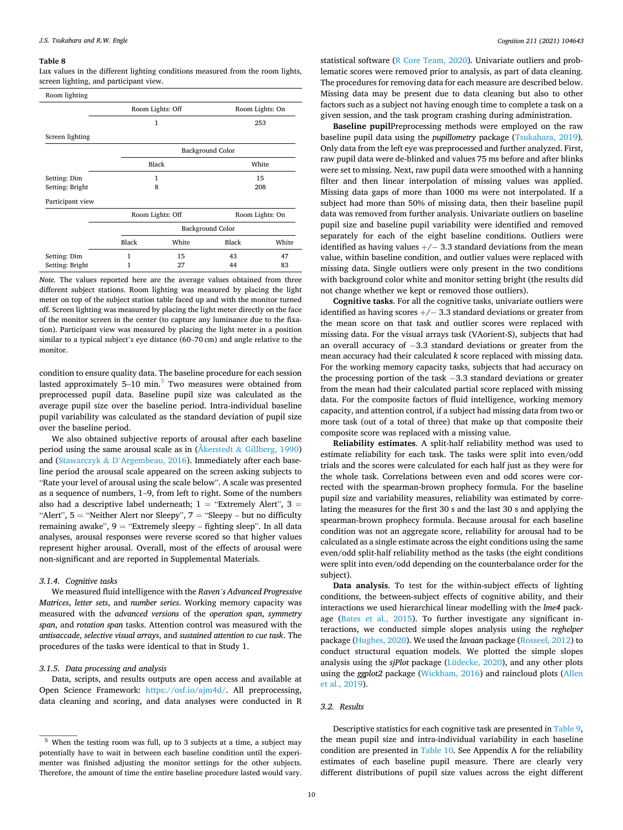<span id="page-9-0"></span>Lux values in the different lighting conditions measured from the room lights, screen lighting, and participant view.

| Room lighting    |                                     |                  |       |                 |  |
|------------------|-------------------------------------|------------------|-------|-----------------|--|
|                  | Room Lights: Off<br>Room Lights: On |                  |       |                 |  |
|                  |                                     | $\mathbf{1}$     |       | 253             |  |
| Screen lighting  |                                     |                  |       |                 |  |
|                  | Background Color                    |                  |       |                 |  |
|                  |                                     | Black            |       | White           |  |
| Setting: Dim     |                                     | 1                | 15    |                 |  |
| Setting: Bright  | 8                                   |                  | 208   |                 |  |
| Participant view |                                     |                  |       |                 |  |
|                  |                                     | Room Lights: Off |       | Room Lights: On |  |
|                  | Background Color                    |                  |       |                 |  |
|                  | Black                               | White            | Black | White           |  |
| Setting: Dim     | 1                                   | 15               | 43    | 47              |  |
| Setting: Bright  | 1                                   | 27               | 44    | 83              |  |

*Note*. The values reported here are the average values obtained from three different subject stations. Room lighting was measured by placing the light meter on top of the subject station table faced up and with the monitor turned off. Screen lighting was measured by placing the light meter directly on the face of the monitor screen in the center (to capture any luminance due to the fixation). Participant view was measured by placing the light meter in a position similar to a typical subject's eye distance (60–70 cm) and angle relative to the monitor.

condition to ensure quality data. The baseline procedure for each session lasted approximately  $5-10$  min.<sup>5</sup> Two measures were obtained from preprocessed pupil data. Baseline pupil size was calculated as the average pupil size over the baseline period. Intra-individual baseline pupil variability was calculated as the standard deviation of pupil size over the baseline period.

We also obtained subjective reports of arousal after each baseline period using the same arousal scale as in ( $\AA$ kerstedt & [Gillberg, 1990\)](#page-16-0) and (Stawarczyk & D'[Argembeau, 2016\)](#page-17-0). Immediately after each baseline period the arousal scale appeared on the screen asking subjects to "Rate your level of arousal using the scale below". A scale was presented as a sequence of numbers, 1–9, from left to right. Some of the numbers also had a descriptive label underneath;  $1 =$  "Extremely Alert",  $3 =$ "Alert",  $5 =$  "Neither Alert nor Sleepy",  $7 =$  "Sleepy – but no difficulty remaining awake",  $9 =$  "Extremely sleepy – fighting sleep". In all data analyses, arousal responses were reverse scored so that higher values represent higher arousal. Overall, most of the effects of arousal were non-significant and are reported in Supplemental Materials.

#### *3.1.4. Cognitive tasks*

We measured fluid intelligence with the *Raven's Advanced Progressive Matrices*, *letter sets*, and *number series*. Working memory capacity was measured with the *advanced versions* of the *operation span*, *symmetry span*, and *rotation span* tasks. Attention control was measured with the *antisaccade*, *selective visual arrays*, and *sustained attention to cue task*. The procedures of the tasks were identical to that in Study 1.

## *3.1.5. Data processing and analysis*

Data, scripts, and results outputs are open access and available at Open Science Framework: <https://osf.io/ajm4d/>. All preprocessing, data cleaning and scoring, and data analyses were conducted in R

statistical software [\(R Core Team, 2020\)](#page-17-0). Univariate outliers and problematic scores were removed prior to analysis, as part of data cleaning. The procedures for removing data for each measure are described below. Missing data may be present due to data cleaning but also to other factors such as a subject not having enough time to complete a task on a given session, and the task program crashing during administration.

**Baseline pupil**Preprocessing methods were employed on the raw baseline pupil data using the *pupillometry* package ([Tsukahara, 2019](#page-17-0)). Only data from the left eye was preprocessed and further analyzed. First, raw pupil data were de-blinked and values 75 ms before and after blinks were set to missing. Next, raw pupil data were smoothed with a hanning filter and then linear interpolation of missing values was applied. Missing data gaps of more than 1000 ms were not interpolated. If a subject had more than 50% of missing data, then their baseline pupil data was removed from further analysis. Univariate outliers on baseline pupil size and baseline pupil variability were identified and removed separately for each of the eight baseline conditions. Outliers were identified as having values  $+/-$  3.3 standard deviations from the mean value, within baseline condition, and outlier values were replaced with missing data. Single outliers were only present in the two conditions with background color white and monitor setting bright (the results did not change whether we kept or removed those outliers).

**Cognitive tasks**. For all the cognitive tasks, univariate outliers were identified as having scores  $+/-$  3.3 standard deviations or greater from the mean score on that task and outlier scores were replaced with missing data. For the visual arrays task (VAorient-S), subjects that had an overall accuracy of −3.3 standard deviations or greater from the mean accuracy had their calculated *k* score replaced with missing data. For the working memory capacity tasks, subjects that had accuracy on the processing portion of the task −3.3 standard deviations or greater from the mean had their calculated partial score replaced with missing data. For the composite factors of fluid intelligence, working memory capacity, and attention control, if a subject had missing data from two or more task (out of a total of three) that make up that composite their composite score was replaced with a missing value.

**Reliability estimates**. A split-half reliability method was used to estimate reliability for each task. The tasks were split into even/odd trials and the scores were calculated for each half just as they were for the whole task. Correlations between even and odd scores were corrected with the spearman-brown prophecy formula. For the baseline pupil size and variability measures, reliability was estimated by correlating the measures for the first 30 s and the last 30 s and applying the spearman-brown prophecy formula. Because arousal for each baseline condition was not an aggregate score, reliability for arousal had to be calculated as a single estimate across the eight conditions using the same even/odd split-half reliability method as the tasks (the eight conditions were split into even/odd depending on the counterbalance order for the subject).

**Data analysis**. To test for the within-subject effects of lighting conditions, the between-subject effects of cognitive ability, and their interactions we used hierarchical linear modelling with the *lme4* package [\(Bates et al., 2015](#page-16-0)). To further investigate any significant interactions, we conducted simple slopes analysis using the *reghelper*  package [\(Hughes, 2020](#page-17-0)). We used the *lavaan* package ([Rosseel, 2012\)](#page-17-0) to conduct structural equation models. We plotted the simple slopes analysis using the *sjPlot* package [\(Lüdecke, 2020\)](#page-17-0), and any other plots using the *ggplot2* package ([Wickham, 2016\)](#page-18-0) and raincloud plots [\(Allen](#page-16-0)  [et al., 2019\)](#page-16-0).

#### *3.2. Results*

Descriptive statistics for each cognitive task are presented in [Table 9](#page-10-0), the mean pupil size and intra-individual variability in each baseline condition are presented in [Table 10](#page-10-0). See Appendix A for the reliability estimates of each baseline pupil measure. There are clearly very different distributions of pupil size values across the eight different

 $5$  When the testing room was full, up to 3 subjects at a time, a subject may potentially have to wait in between each baseline condition until the experimenter was finished adjusting the monitor settings for the other subjects. Therefore, the amount of time the entire baseline procedure lasted would vary.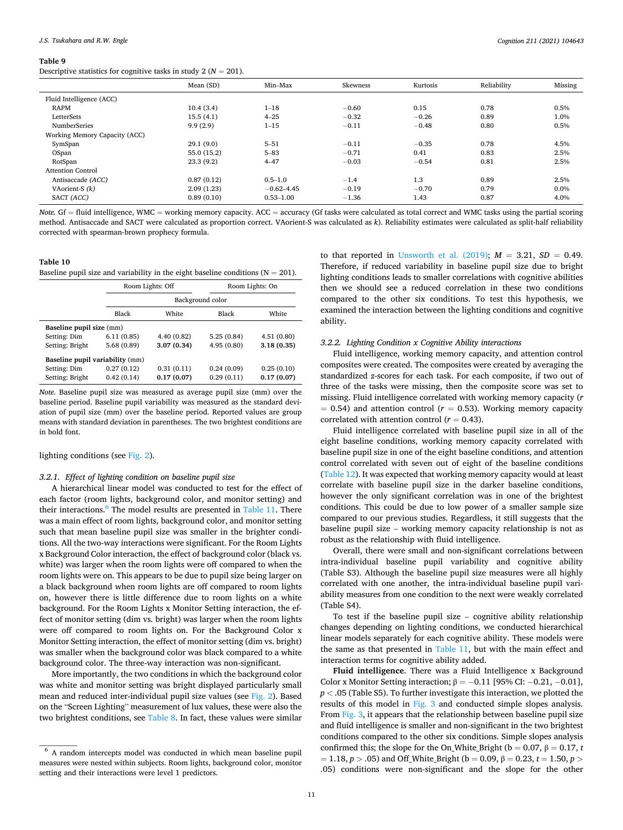<span id="page-10-0"></span>Descriptive statistics for cognitive tasks in study  $2 (N = 201)$ .

|                               | Mean (SD)   | Min-Max        | Skewness | Kurtosis | Reliability | Missing |
|-------------------------------|-------------|----------------|----------|----------|-------------|---------|
| Fluid Intelligence (ACC)      |             |                |          |          |             |         |
| <b>RAPM</b>                   | 10.4(3.4)   | $1 - 18$       | $-0.60$  | 0.15     | 0.78        | 0.5%    |
| LetterSets                    | 15.5(4.1)   | $4 - 25$       | $-0.32$  | $-0.26$  | 0.89        | 1.0%    |
| <b>NumberSeries</b>           | 9.9(2.9)    | $1 - 15$       | $-0.11$  | $-0.48$  | 0.80        | 0.5%    |
| Working Memory Capacity (ACC) |             |                |          |          |             |         |
| SymSpan                       | 29.1(9.0)   | $5 - 51$       | $-0.11$  | $-0.35$  | 0.78        | 4.5%    |
| OSpan                         | 55.0 (15.2) | $5 - 83$       | $-0.71$  | 0.41     | 0.83        | 2.5%    |
| RotSpan                       | 23.3(9.2)   | $4 - 47$       | $-0.03$  | $-0.54$  | 0.81        | 2.5%    |
| <b>Attention Control</b>      |             |                |          |          |             |         |
| Antisaccade (ACC)             | 0.87(0.12)  | $0.5 - 1.0$    | $-1.4$   | 1.3      | 0.89        | 2.5%    |
| VAorient-S $(k)$              | 2.09(1.23)  | $-0.62 - 4.45$ | $-0.19$  | $-0.70$  | 0.79        | 0.0%    |
| SACT (ACC)                    | 0.89(0.10)  | $0.53 - 1.00$  | $-1.36$  | 1.43     | 0.87        | 4.0%    |

*Note.* Gf = fluid intelligence, WMC = working memory capacity. ACC = accuracy (Gf tasks were calculated as total correct and WMC tasks using the partial scoring method. Antisaccade and SACT were calculated as proportion correct. VAorient-S was calculated as *k*). Reliability estimates were calculated as split-half reliability corrected with spearman-brown prophecy formula.

#### **Table 10**

Baseline pupil size and variability in the eight baseline conditions ( $N = 201$ ).

|                                 |            | Room Lights: Off |            | Room Lights: On |  |  |
|---------------------------------|------------|------------------|------------|-----------------|--|--|
|                                 |            | Background color |            |                 |  |  |
|                                 | Black      | White            | Black      | White           |  |  |
| Baseline pupil size (mm)        |            |                  |            |                 |  |  |
| Setting: Dim                    | 6.11(0.85) | 4.40(0.82)       | 5.25(0.84) | 4.51(0.80)      |  |  |
| Setting: Bright                 | 5.68(0.89) | 3.07 (0.34)      | 4.95(0.80) | 3.18(0.35)      |  |  |
| Baseline pupil variability (mm) |            |                  |            |                 |  |  |
| Setting: Dim                    | 0.27(0.12) | 0.31(0.11)       | 0.24(0.09) | 0.25(0.10)      |  |  |
| Setting: Bright                 | 0.42(0.14) | 0.17(0.07)       | 0.29(0.11) | 0.17(0.07)      |  |  |

*Note*. Baseline pupil size was measured as average pupil size (mm) over the baseline period. Baseline pupil variability was measured as the standard deviation of pupil size (mm) over the baseline period. Reported values are group means with standard deviation in parentheses. The two brightest conditions are in bold font.

#### lighting conditions (see [Fig. 2\)](#page-11-0).

#### *3.2.1. Effect of lighting condition on baseline pupil size*

A hierarchical linear model was conducted to test for the effect of each factor (room lights, background color, and monitor setting) and their interactions.<sup>6</sup> The model results are presented in [Table 11.](#page-11-0) There was a main effect of room lights, background color, and monitor setting such that mean baseline pupil size was smaller in the brighter conditions. All the two-way interactions were significant. For the Room Lights x Background Color interaction, the effect of background color (black vs. white) was larger when the room lights were off compared to when the room lights were on. This appears to be due to pupil size being larger on a black background when room lights are off compared to room lights on, however there is little difference due to room lights on a white background. For the Room Lights x Monitor Setting interaction, the effect of monitor setting (dim vs. bright) was larger when the room lights were off compared to room lights on. For the Background Color x Monitor Setting interaction, the effect of monitor setting (dim vs. bright) was smaller when the background color was black compared to a white background color. The three-way interaction was non-significant.

More importantly, the two conditions in which the background color was white and monitor setting was bright displayed particularly small mean and reduced inter-individual pupil size values (see [Fig. 2\)](#page-11-0). Based on the "Screen Lighting" measurement of lux values, these were also the two brightest conditions, see [Table 8.](#page-9-0) In fact, these values were similar to that reported in Unsworth et al.  $(2019)$ ;  $M = 3.21$ ,  $SD = 0.49$ . Therefore, if reduced variability in baseline pupil size due to bright lighting conditions leads to smaller correlations with cognitive abilities then we should see a reduced correlation in these two conditions compared to the other six conditions. To test this hypothesis, we examined the interaction between the lighting conditions and cognitive ability.

## *3.2.2. Lighting Condition x Cognitive Ability interactions*

Fluid intelligence, working memory capacity, and attention control composites were created. The composites were created by averaging the standardized *z*-scores for each task. For each composite, if two out of three of the tasks were missing, then the composite score was set to missing. Fluid intelligence correlated with working memory capacity (*r*   $= 0.54$ ) and attention control ( $r = 0.53$ ). Working memory capacity correlated with attention control  $(r = 0.43)$ .

Fluid intelligence correlated with baseline pupil size in all of the eight baseline conditions, working memory capacity correlated with baseline pupil size in one of the eight baseline conditions, and attention control correlated with seven out of eight of the baseline conditions ([Table 12\)](#page-11-0). It was expected that working memory capacity would at least correlate with baseline pupil size in the darker baseline conditions, however the only significant correlation was in one of the brightest conditions. This could be due to low power of a smaller sample size compared to our previous studies. Regardless, it still suggests that the baseline pupil size – working memory capacity relationship is not as robust as the relationship with fluid intelligence.

Overall, there were small and non-significant correlations between intra-individual baseline pupil variability and cognitive ability (Table S3). Although the baseline pupil size measures were all highly correlated with one another, the intra-individual baseline pupil variability measures from one condition to the next were weakly correlated (Table S4).

To test if the baseline pupil size – cognitive ability relationship changes depending on lighting conditions, we conducted hierarchical linear models separately for each cognitive ability. These models were the same as that presented in [Table 11](#page-11-0), but with the main effect and interaction terms for cognitive ability added.

**Fluid intelligence**. There was a Fluid Intelligence x Background Color x Monitor Setting interaction;  $\beta = -0.11$  [95% CI:  $-0.21$ ,  $-0.01$ ], *p <* .05 (Table S5). To further investigate this interaction, we plotted the results of this model in [Fig. 3](#page-11-0) and conducted simple slopes analysis. From [Fig. 3](#page-11-0), it appears that the relationship between baseline pupil size and fluid intelligence is smaller and non-significant in the two brightest conditions compared to the other six conditions. Simple slopes analysis confirmed this; the slope for the On\_White\_Bright ( $b = 0.07$ ,  $\beta = 0.17$ , *t*  $= 1.18, p > .05$  and Off\_White\_Bright (b = 0.09, β = 0.23, t = 1.50, p > .05) conditions were non-significant and the slope for the other

 $6$  A random intercepts model was conducted in which mean baseline pupil measures were nested within subjects. Room lights, background color, monitor setting and their interactions were level 1 predictors.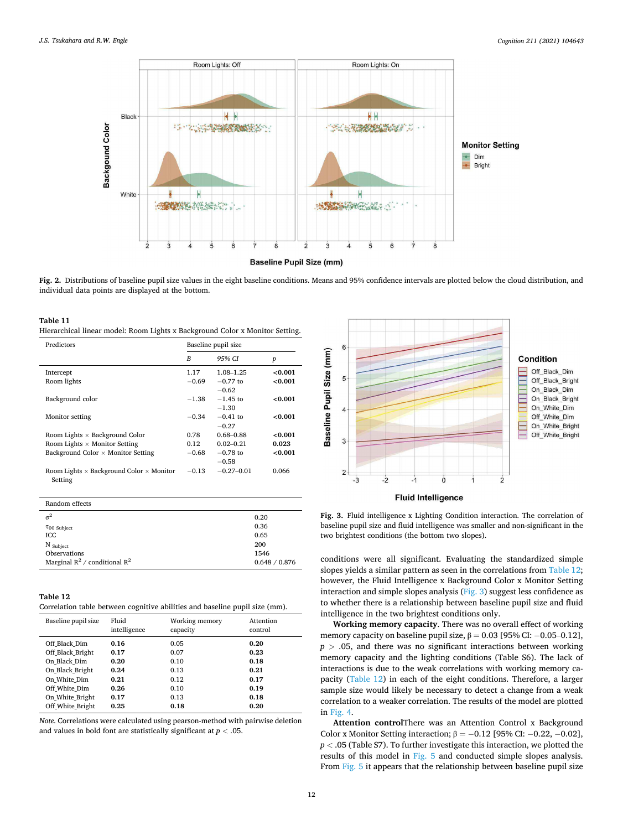<span id="page-11-0"></span>

**Fig. 2.** Distributions of baseline pupil size values in the eight baseline conditions. Means and 95% confidence intervals are plotted below the cloud distribution, and individual data points are displayed at the bottom.

| Table 11                                                                     |  |
|------------------------------------------------------------------------------|--|
| Hierarchical linear model: Room Lights x Background Color x Monitor Setting. |  |

| Predictors                                                        | Baseline pupil size |                |                  |  |
|-------------------------------------------------------------------|---------------------|----------------|------------------|--|
|                                                                   | B                   | 95% CI         | $\boldsymbol{p}$ |  |
| Intercept                                                         | 1.17                | 1.08-1.25      | < 0.001          |  |
| Room lights                                                       | $-0.69$             | $-0.77$ to     | < 0.001          |  |
|                                                                   |                     | $-0.62$        |                  |  |
| Background color                                                  | $-1.38$             | $-1.45$ to     | < 0.001          |  |
|                                                                   |                     | $-1.30$        |                  |  |
| Monitor setting                                                   | $-0.34$             | $-0.41$ to     | < 0.001          |  |
|                                                                   |                     | $-0.27$        |                  |  |
| Room Lights $\times$ Background Color                             | 0.78                | $0.68 - 0.88$  | < 0.001          |  |
| Room Lights $\times$ Monitor Setting                              | 0.12                | $0.02 - 0.21$  | 0.023            |  |
| Background Color $\times$ Monitor Setting                         | $-0.68$             | $-0.78$ to     | < 0.001          |  |
|                                                                   |                     | $-0.58$        |                  |  |
| Room Lights $\times$ Background Color $\times$ Monitor<br>Setting | $-0.13$             | $-0.27 - 0.01$ | 0.066            |  |

## Random effects

| $\sigma^2$                         | 0.20          |
|------------------------------------|---------------|
| $\tau_{00}$ Subject                | 0.36          |
| ICC                                | 0.65          |
| N Subject                          | 200           |
| Observations                       | 1546          |
| Marginal $R^2$ / conditional $R^2$ | 0.648 / 0.876 |

## **Table 12**

Correlation table between cognitive abilities and baseline pupil size (mm).

| Baseline pupil size | Fluid<br>intelligence | Working memory<br>capacity | Attention<br>control |  |  |
|---------------------|-----------------------|----------------------------|----------------------|--|--|
| Off Black Dim       | 0.16                  | 0.05                       | 0.20                 |  |  |
| Off Black Bright    | 0.17                  | 0.07                       | 0.23                 |  |  |
| On Black Dim        | 0.20                  | 0.10                       | 0.18                 |  |  |
| On Black Bright     | 0.24                  | 0.13                       | 0.21                 |  |  |
| On White Dim        | 0.21                  | 0.12                       | 0.17                 |  |  |
| Off White Dim       | 0.26                  | 0.10                       | 0.19                 |  |  |
| On White Bright     | 0.17                  | 0.13                       | 0.18                 |  |  |
| Off White Bright    | 0.25                  | 0.18                       | 0.20                 |  |  |

*Note*. Correlations were calculated using pearson-method with pairwise deletion and values in bold font are statistically significant at *p <* .05.



**Fig. 3.** Fluid intelligence x Lighting Condition interaction. The correlation of baseline pupil size and fluid intelligence was smaller and non-significant in the two brightest conditions (the bottom two slopes).

conditions were all significant. Evaluating the standardized simple slopes yields a similar pattern as seen in the correlations from Table 12; however, the Fluid Intelligence x Background Color x Monitor Setting interaction and simple slopes analysis (Fig. 3) suggest less confidence as to whether there is a relationship between baseline pupil size and fluid intelligence in the two brightest conditions only.

**Working memory capacity**. There was no overall effect of working memory capacity on baseline pupil size,  $\beta = 0.03$  [95% CI: -0.05-0.12], *p >* .05, and there was no significant interactions between working memory capacity and the lighting conditions (Table S6). The lack of interactions is due to the weak correlations with working memory capacity (Table 12) in each of the eight conditions. Therefore, a larger sample size would likely be necessary to detect a change from a weak correlation to a weaker correlation. The results of the model are plotted in [Fig. 4.](#page-12-0)

**Attention control**There was an Attention Control x Background Color x Monitor Setting interaction;  $\beta = -0.12$  [95% CI:  $-0.22$ ,  $-0.02$ ], *p <* .05 (Table S7). To further investigate this interaction, we plotted the results of this model in [Fig. 5](#page-12-0) and conducted simple slopes analysis. From [Fig. 5](#page-12-0) it appears that the relationship between baseline pupil size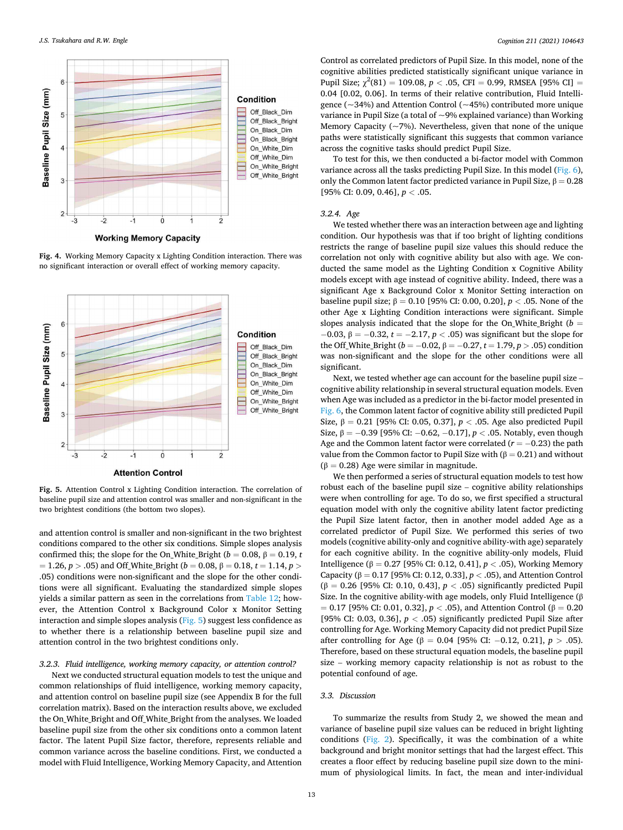<span id="page-12-0"></span>

**Fig. 4.** Working Memory Capacity x Lighting Condition interaction. There was no significant interaction or overall effect of working memory capacity.



**Fig. 5.** Attention Control x Lighting Condition interaction. The correlation of baseline pupil size and attention control was smaller and non-significant in the two brightest conditions (the bottom two slopes).

and attention control is smaller and non-significant in the two brightest conditions compared to the other six conditions. Simple slopes analysis confirmed this; the slope for the On\_White\_Bright ( $b = 0.08$ ,  $\beta = 0.19$ , *t*  $= 1.26, p > .05$ ) and Off\_White\_Bright (*b* = 0.08, β = 0.18, *t* = 1.14, *p* > .05) conditions were non-significant and the slope for the other conditions were all significant. Evaluating the standardized simple slopes yields a similar pattern as seen in the correlations from [Table 12](#page-11-0); however, the Attention Control x Background Color x Monitor Setting interaction and simple slopes analysis (Fig. 5) suggest less confidence as to whether there is a relationship between baseline pupil size and attention control in the two brightest conditions only.

## *3.2.3. Fluid intelligence, working memory capacity, or attention control?*

Next we conducted structural equation models to test the unique and common relationships of fluid intelligence, working memory capacity, and attention control on baseline pupil size (see Appendix B for the full correlation matrix). Based on the interaction results above, we excluded the On\_White\_Bright and Off\_White\_Bright from the analyses. We loaded baseline pupil size from the other six conditions onto a common latent factor. The latent Pupil Size factor, therefore, represents reliable and common variance across the baseline conditions. First, we conducted a model with Fluid Intelligence, Working Memory Capacity, and Attention

Control as correlated predictors of Pupil Size. In this model, none of the cognitive abilities predicted statistically significant unique variance in Pupil Size;  $\chi^2(81) = 109.08$ ,  $p < .05$ , CFI = 0.99, RMSEA [95% CI] = 0.04 [0.02, 0.06]. In terms of their relative contribution, Fluid Intelligence ( $\sim$ 34%) and Attention Control ( $\sim$ 45%) contributed more unique variance in Pupil Size (a total of  $\sim$ 9% explained variance) than Working Memory Capacity ( $\sim$ 7%). Nevertheless, given that none of the unique paths were statistically significant this suggests that common variance across the cognitive tasks should predict Pupil Size.

To test for this, we then conducted a bi-factor model with Common variance across all the tasks predicting Pupil Size. In this model ([Fig. 6](#page-13-0)), only the Common latent factor predicted variance in Pupil Size,  $\beta = 0.28$ [95% CI: 0.09, 0.46], *p <* .05.

#### *3.2.4. Age*

We tested whether there was an interaction between age and lighting condition. Our hypothesis was that if too bright of lighting conditions restricts the range of baseline pupil size values this should reduce the correlation not only with cognitive ability but also with age. We conducted the same model as the Lighting Condition x Cognitive Ability models except with age instead of cognitive ability. Indeed, there was a significant Age x Background Color x Monitor Setting interaction on baseline pupil size; β = 0.10 [95% CI: 0.00, 0.20], *p <* .05. None of the other Age x Lighting Condition interactions were significant. Simple slopes analysis indicated that the slope for the On\_White\_Bright ( $b =$ −0.03, β = −0.32, *t* = −2.17, *p <* .05) was significant but the slope for the Off\_White\_Bright (*b* = −0.02, *β* = −0.27, *t* = 1.79, *p* > .05) condition was non-significant and the slope for the other conditions were all significant.

Next, we tested whether age can account for the baseline pupil size – cognitive ability relationship in several structural equation models. Even when Age was included as a predictor in the bi-factor model presented in [Fig. 6](#page-13-0), the Common latent factor of cognitive ability still predicted Pupil Size, β = 0.21 [95% CI: 0.05, 0.37], *p <* .05. Age also predicted Pupil Size, β = −0.39 [95% CI: −0.62, −0.17], *p <* .05. Notably, even though Age and the Common latent factor were correlated (*r* = −0.23) the path value from the Common factor to Pupil Size with ( $β = 0.21$ ) and without  $(β = 0.28)$  Age were similar in magnitude.

We then performed a series of structural equation models to test how robust each of the baseline pupil size – cognitive ability relationships were when controlling for age. To do so, we first specified a structural equation model with only the cognitive ability latent factor predicting the Pupil Size latent factor, then in another model added Age as a correlated predictor of Pupil Size. We performed this series of two models (cognitive ability-only and cognitive ability-with age) separately for each cognitive ability. In the cognitive ability-only models, Fluid Intelligence (β = 0.27 [95% CI: 0.12, 0.41], *p <* .05), Working Memory Capacity (β = 0.17 [95% CI: 0.12, 0.33], *p <* .05), and Attention Control (β = 0.26 [95% CI: 0.10, 0.43], *p <* .05) significantly predicted Pupil Size. In the cognitive ability-with age models, only Fluid Intelligence  $(\beta$  $= 0.17$  [95% CI: 0.01, 0.32], *p* < .05), and Attention Control (β = 0.20 [95% CI: 0.03, 0.36], *p <* .05) significantly predicted Pupil Size after controlling for Age. Working Memory Capacity did not predict Pupil Size after controlling for Age (β = 0.04 [95% CI: −0.12, 0.21],  $p$  > .05). Therefore, based on these structural equation models, the baseline pupil size – working memory capacity relationship is not as robust to the potential confound of age.

#### *3.3. Discussion*

To summarize the results from Study 2, we showed the mean and variance of baseline pupil size values can be reduced in bright lighting conditions [\(Fig. 2](#page-11-0)). Specifically, it was the combination of a white background and bright monitor settings that had the largest effect. This creates a floor effect by reducing baseline pupil size down to the minimum of physiological limits. In fact, the mean and inter-individual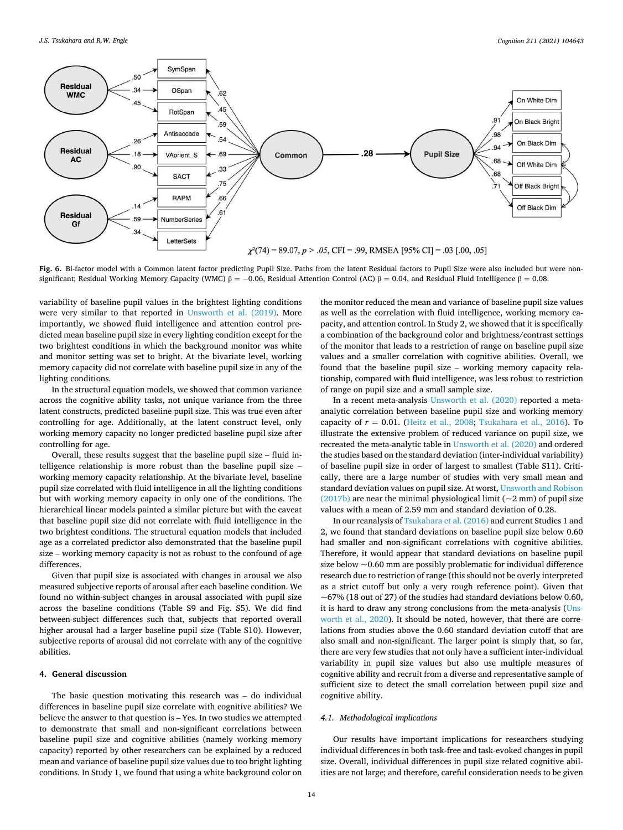<span id="page-13-0"></span>

Fig. 6. Bi-factor model with a Common latent factor predicting Pupil Size. Paths from the latent Residual factors to Pupil Size were also included but were nonsignificant; Residual Working Memory Capacity (WMC)  $\beta = -0.06$ , Residual Attention Control (AC)  $\beta = 0.04$ , and Residual Fluid Intelligence  $\beta = 0.08$ .

variability of baseline pupil values in the brightest lighting conditions were very similar to that reported in [Unsworth et al. \(2019\)](#page-17-0). More importantly, we showed fluid intelligence and attention control predicted mean baseline pupil size in every lighting condition except for the two brightest conditions in which the background monitor was white and monitor setting was set to bright. At the bivariate level, working memory capacity did not correlate with baseline pupil size in any of the lighting conditions.

In the structural equation models, we showed that common variance across the cognitive ability tasks, not unique variance from the three latent constructs, predicted baseline pupil size. This was true even after controlling for age. Additionally, at the latent construct level, only working memory capacity no longer predicted baseline pupil size after controlling for age.

Overall, these results suggest that the baseline pupil size – fluid intelligence relationship is more robust than the baseline pupil size – working memory capacity relationship. At the bivariate level, baseline pupil size correlated with fluid intelligence in all the lighting conditions but with working memory capacity in only one of the conditions. The hierarchical linear models painted a similar picture but with the caveat that baseline pupil size did not correlate with fluid intelligence in the two brightest conditions. The structural equation models that included age as a correlated predictor also demonstrated that the baseline pupil size – working memory capacity is not as robust to the confound of age differences.

Given that pupil size is associated with changes in arousal we also measured subjective reports of arousal after each baseline condition. We found no within-subject changes in arousal associated with pupil size across the baseline conditions (Table S9 and Fig. S5). We did find between-subject differences such that, subjects that reported overall higher arousal had a larger baseline pupil size (Table S10). However, subjective reports of arousal did not correlate with any of the cognitive abilities.

#### **4. General discussion**

The basic question motivating this research was – do individual differences in baseline pupil size correlate with cognitive abilities? We believe the answer to that question is – Yes. In two studies we attempted to demonstrate that small and non-significant correlations between baseline pupil size and cognitive abilities (namely working memory capacity) reported by other researchers can be explained by a reduced mean and variance of baseline pupil size values due to too bright lighting conditions. In Study 1, we found that using a white background color on

the monitor reduced the mean and variance of baseline pupil size values as well as the correlation with fluid intelligence, working memory capacity, and attention control. In Study 2, we showed that it is specifically a combination of the background color and brightness/contrast settings of the monitor that leads to a restriction of range on baseline pupil size values and a smaller correlation with cognitive abilities. Overall, we found that the baseline pupil size – working memory capacity relationship, compared with fluid intelligence, was less robust to restriction of range on pupil size and a small sample size.

In a recent meta-analysis [Unsworth et al. \(2020\)](#page-17-0) reported a metaanalytic correlation between baseline pupil size and working memory capacity of  $r = 0.01$ . [\(Heitz et al., 2008;](#page-17-0) [Tsukahara et al., 2016](#page-17-0)). To illustrate the extensive problem of reduced variance on pupil size, we recreated the meta-analytic table in [Unsworth et al. \(2020\)](#page-17-0) and ordered the studies based on the standard deviation (inter-individual variability) of baseline pupil size in order of largest to smallest (Table S11). Critically, there are a large number of studies with very small mean and standard deviation values on pupil size. At worst, [Unsworth and Robison](#page-17-0)  [\(2017b\)](#page-17-0) are near the minimal physiological limit ( $\sim$ 2 mm) of pupil size values with a mean of 2.59 mm and standard deviation of 0.28.

In our reanalysis of [Tsukahara et al. \(2016\)](#page-17-0) and current Studies 1 and 2, we found that standard deviations on baseline pupil size below 0.60 had smaller and non-significant correlations with cognitive abilities. Therefore, it would appear that standard deviations on baseline pupil size below  $\sim$  0.60 mm are possibly problematic for individual difference research due to restriction of range (this should not be overly interpreted as a strict cutoff but only a very rough reference point). Given that  $\sim$  67% (18 out of 27) of the studies had standard deviations below 0.60, it is hard to draw any strong conclusions from the meta-analysis ([Uns](#page-17-0)[worth et al., 2020](#page-17-0)). It should be noted, however, that there are correlations from studies above the 0.60 standard deviation cutoff that are also small and non-significant. The larger point is simply that, so far, there are very few studies that not only have a sufficient inter-individual variability in pupil size values but also use multiple measures of cognitive ability and recruit from a diverse and representative sample of sufficient size to detect the small correlation between pupil size and cognitive ability.

## *4.1. Methodological implications*

Our results have important implications for researchers studying individual differences in both task-free and task-evoked changes in pupil size. Overall, individual differences in pupil size related cognitive abilities are not large; and therefore, careful consideration needs to be given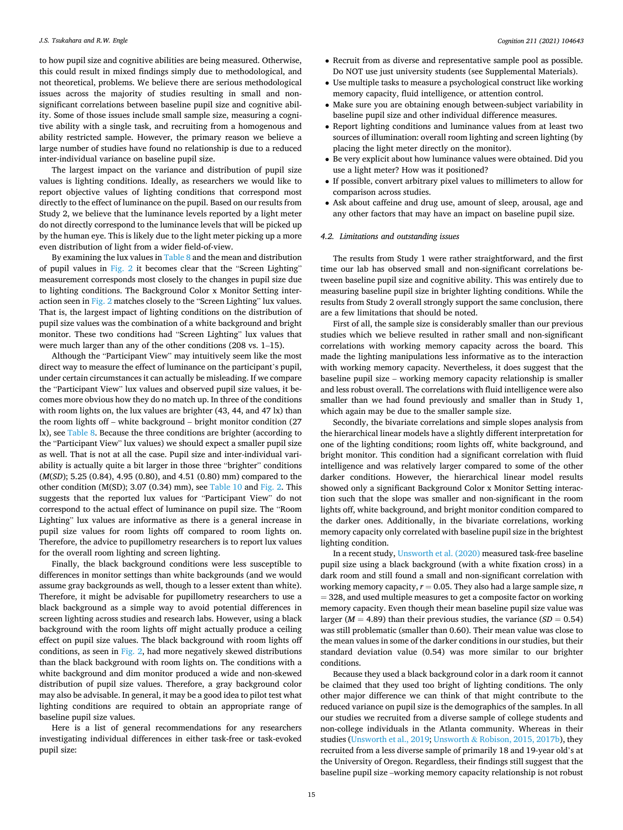to how pupil size and cognitive abilities are being measured. Otherwise, this could result in mixed findings simply due to methodological, and not theoretical, problems. We believe there are serious methodological issues across the majority of studies resulting in small and nonsignificant correlations between baseline pupil size and cognitive ability. Some of those issues include small sample size, measuring a cognitive ability with a single task, and recruiting from a homogenous and ability restricted sample. However, the primary reason we believe a large number of studies have found no relationship is due to a reduced inter-individual variance on baseline pupil size.

The largest impact on the variance and distribution of pupil size values is lighting conditions. Ideally, as researchers we would like to report objective values of lighting conditions that correspond most directly to the effect of luminance on the pupil. Based on our results from Study 2, we believe that the luminance levels reported by a light meter do not directly correspond to the luminance levels that will be picked up by the human eye. This is likely due to the light meter picking up a more even distribution of light from a wider field-of-view.

By examining the lux values in [Table 8](#page-9-0) and the mean and distribution of pupil values in [Fig. 2](#page-11-0) it becomes clear that the "Screen Lighting" measurement corresponds most closely to the changes in pupil size due to lighting conditions. The Background Color x Monitor Setting interaction seen in [Fig. 2](#page-11-0) matches closely to the "Screen Lighting" lux values. That is, the largest impact of lighting conditions on the distribution of pupil size values was the combination of a white background and bright monitor. These two conditions had "Screen Lighting" lux values that were much larger than any of the other conditions (208 vs. 1–15).

Although the "Participant View" may intuitively seem like the most direct way to measure the effect of luminance on the participant's pupil, under certain circumstances it can actually be misleading. If we compare the "Participant View" lux values and observed pupil size values, it becomes more obvious how they do no match up. In three of the conditions with room lights on, the lux values are brighter (43, 44, and 47 lx) than the room lights off – white background – bright monitor condition (27 lx), see [Table 8.](#page-9-0) Because the three conditions are brighter (according to the "Participant View" lux values) we should expect a smaller pupil size as well. That is not at all the case. Pupil size and inter-individual variability is actually quite a bit larger in those three "brighter" conditions (*M*(*SD*); 5.25 (0.84), 4.95 (0.80), and 4.51 (0.80) mm) compared to the other condition (M(SD); 3.07 (0.34) mm), see [Table 10](#page-10-0) and [Fig. 2](#page-11-0). This suggests that the reported lux values for "Participant View" do not correspond to the actual effect of luminance on pupil size. The "Room Lighting" lux values are informative as there is a general increase in pupil size values for room lights off compared to room lights on. Therefore, the advice to pupillometry researchers is to report lux values for the overall room lighting and screen lighting.

Finally, the black background conditions were less susceptible to differences in monitor settings than white backgrounds (and we would assume gray backgrounds as well, though to a lesser extent than white). Therefore, it might be advisable for pupillometry researchers to use a black background as a simple way to avoid potential differences in screen lighting across studies and research labs. However, using a black background with the room lights off might actually produce a ceiling effect on pupil size values. The black background with room lights off conditions, as seen in [Fig. 2](#page-11-0), had more negatively skewed distributions than the black background with room lights on. The conditions with a white background and dim monitor produced a wide and non-skewed distribution of pupil size values. Therefore, a gray background color may also be advisable. In general, it may be a good idea to pilot test what lighting conditions are required to obtain an appropriate range of baseline pupil size values.

Here is a list of general recommendations for any researchers investigating individual differences in either task-free or task-evoked pupil size:

- Recruit from as diverse and representative sample pool as possible. Do NOT use just university students (see Supplemental Materials).
- Use multiple tasks to measure a psychological construct like working memory capacity, fluid intelligence, or attention control.
- Make sure you are obtaining enough between-subject variability in baseline pupil size and other individual difference measures.
- Report lighting conditions and luminance values from at least two sources of illumination: overall room lighting and screen lighting (by placing the light meter directly on the monitor).
- Be very explicit about how luminance values were obtained. Did you use a light meter? How was it positioned?
- If possible, convert arbitrary pixel values to millimeters to allow for comparison across studies.
- Ask about caffeine and drug use, amount of sleep, arousal, age and any other factors that may have an impact on baseline pupil size.

### *4.2. Limitations and outstanding issues*

The results from Study 1 were rather straightforward, and the first time our lab has observed small and non-significant correlations between baseline pupil size and cognitive ability. This was entirely due to measuring baseline pupil size in brighter lighting conditions. While the results from Study 2 overall strongly support the same conclusion, there are a few limitations that should be noted.

First of all, the sample size is considerably smaller than our previous studies which we believe resulted in rather small and non-significant correlations with working memory capacity across the board. This made the lighting manipulations less informative as to the interaction with working memory capacity. Nevertheless, it does suggest that the baseline pupil size – working memory capacity relationship is smaller and less robust overall. The correlations with fluid intelligence were also smaller than we had found previously and smaller than in Study 1, which again may be due to the smaller sample size.

Secondly, the bivariate correlations and simple slopes analysis from the hierarchical linear models have a slightly different interpretation for one of the lighting conditions; room lights off, white background, and bright monitor. This condition had a significant correlation with fluid intelligence and was relatively larger compared to some of the other darker conditions. However, the hierarchical linear model results showed only a significant Background Color x Monitor Setting interaction such that the slope was smaller and non-significant in the room lights off, white background, and bright monitor condition compared to the darker ones. Additionally, in the bivariate correlations, working memory capacity only correlated with baseline pupil size in the brightest lighting condition.

In a recent study, [Unsworth et al. \(2020\)](#page-17-0) measured task-free baseline pupil size using a black background (with a white fixation cross) in a dark room and still found a small and non-significant correlation with working memory capacity,  $r = 0.05$ . They also had a large sample size, *n*  $= 328$ , and used multiple measures to get a composite factor on working memory capacity. Even though their mean baseline pupil size value was larger ( $M = 4.89$ ) than their previous studies, the variance ( $SD = 0.54$ ) was still problematic (smaller than 0.60). Their mean value was close to the mean values in some of the darker conditions in our studies, but their standard deviation value (0.54) was more similar to our brighter conditions.

Because they used a black background color in a dark room it cannot be claimed that they used too bright of lighting conditions. The only other major difference we can think of that might contribute to the reduced variance on pupil size is the demographics of the samples. In all our studies we recruited from a diverse sample of college students and non-college individuals in the Atlanta community. Whereas in their studies ([Unsworth et al., 2019;](#page-17-0) Unsworth & [Robison, 2015, 2017b](#page-17-0)), they recruited from a less diverse sample of primarily 18 and 19-year old's at the University of Oregon. Regardless, their findings still suggest that the baseline pupil size –working memory capacity relationship is not robust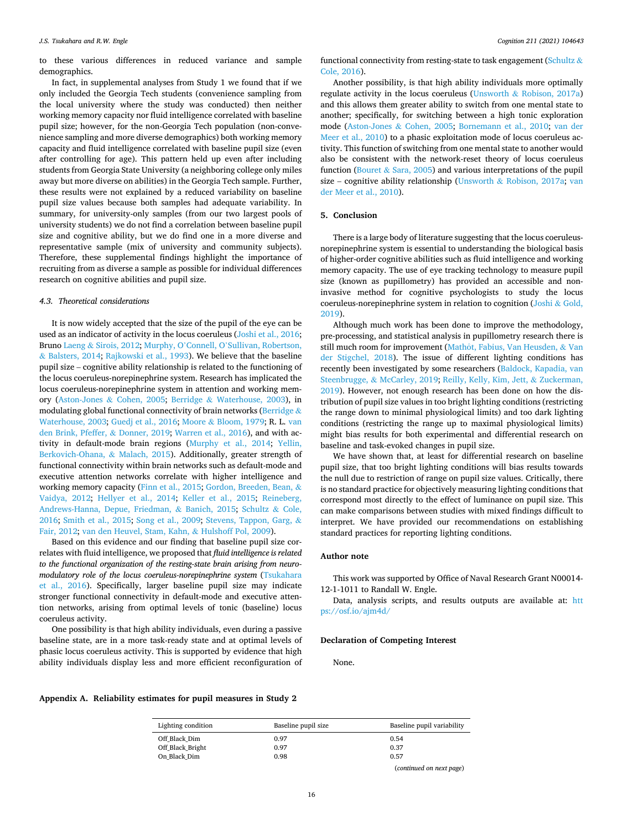to these various differences in reduced variance and sample demographics.

In fact, in supplemental analyses from Study 1 we found that if we only included the Georgia Tech students (convenience sampling from the local university where the study was conducted) then neither working memory capacity nor fluid intelligence correlated with baseline pupil size; however, for the non-Georgia Tech population (non-convenience sampling and more diverse demographics) both working memory capacity and fluid intelligence correlated with baseline pupil size (even after controlling for age). This pattern held up even after including students from Georgia State University (a neighboring college only miles away but more diverse on abilities) in the Georgia Tech sample. Further, these results were not explained by a reduced variability on baseline pupil size values because both samples had adequate variability. In summary, for university-only samples (from our two largest pools of university students) we do not find a correlation between baseline pupil size and cognitive ability, but we do find one in a more diverse and representative sample (mix of university and community subjects). Therefore, these supplemental findings highlight the importance of recruiting from as diverse a sample as possible for individual differences research on cognitive abilities and pupil size.

### *4.3. Theoretical considerations*

It is now widely accepted that the size of the pupil of the eye can be used as an indicator of activity in the locus coeruleus ([Joshi et al., 2016](#page-17-0); Bruno Laeng & [Sirois, 2012;](#page-17-0) Murphy, O'Connell, O'[Sullivan, Robertson,](#page-17-0)  & [Balsters, 2014](#page-17-0); [Rajkowski et al., 1993](#page-17-0)). We believe that the baseline pupil size – cognitive ability relationship is related to the functioning of the locus coeruleus-norepinephrine system. Research has implicated the locus coeruleus-norepinephrine system in attention and working memory (Aston-Jones & [Cohen, 2005;](#page-16-0) Berridge & [Waterhouse, 2003\)](#page-16-0), in modulating global functional connectivity of brain networks ([Berridge](#page-16-0) & [Waterhouse, 2003;](#page-16-0) [Guedj et al., 2016;](#page-17-0) Moore & [Bloom, 1979;](#page-17-0) R. L. [van](#page-16-0)  [den Brink, Pfeffer,](#page-16-0) & Donner, 2019; [Warren et al., 2016](#page-17-0)), and with activity in default-mode brain regions [\(Murphy et al., 2014;](#page-17-0) [Yellin,](#page-18-0)  [Berkovich-Ohana,](#page-18-0) & Malach, 2015). Additionally, greater strength of functional connectivity within brain networks such as default-mode and executive attention networks correlate with higher intelligence and working memory capacity ([Finn et al., 2015](#page-16-0); [Gordon, Breeden, Bean,](#page-16-0) & [Vaidya, 2012;](#page-16-0) [Hellyer et al., 2014](#page-17-0); [Keller et al., 2015](#page-17-0); [Reineberg,](#page-17-0)  [Andrews-Hanna, Depue, Friedman,](#page-17-0) & Banich, 2015; [Schultz](#page-17-0) & Cole, [2016;](#page-17-0) [Smith et al., 2015](#page-17-0); [Song et al., 2009;](#page-17-0) [Stevens, Tappon, Garg,](#page-17-0) & [Fair, 2012](#page-17-0); [van den Heuvel, Stam, Kahn,](#page-17-0) & Hulshoff Pol, 2009).

Based on this evidence and our finding that baseline pupil size correlates with fluid intelligence, we proposed that *fluid intelligence is related to the functional organization of the resting-state brain arising from neuromodulatory role of the locus coeruleus-norepinephrine system* [\(Tsukahara](#page-17-0)  [et al., 2016\)](#page-17-0). Specifically, larger baseline pupil size may indicate stronger functional connectivity in default-mode and executive attention networks, arising from optimal levels of tonic (baseline) locus coeruleus activity.

One possibility is that high ability individuals, even during a passive baseline state, are in a more task-ready state and at optimal levels of phasic locus coeruleus activity. This is supported by evidence that high ability individuals display less and more efficient reconfiguration of functional connectivity from resting-state to task engagement [\(Schultz](#page-17-0) & [Cole, 2016\)](#page-17-0).

Another possibility, is that high ability individuals more optimally regulate activity in the locus coeruleus (Unsworth & [Robison, 2017a\)](#page-17-0) and this allows them greater ability to switch from one mental state to another; specifically, for switching between a high tonic exploration mode (Aston-Jones & [Cohen, 2005](#page-16-0); [Bornemann et al., 2010;](#page-16-0) [van der](#page-17-0)  [Meer et al., 2010\)](#page-17-0) to a phasic exploitation mode of locus coeruleus activity. This function of switching from one mental state to another would also be consistent with the network-reset theory of locus coeruleus function (Bouret  $&$  [Sara, 2005](#page-16-0)) and various interpretations of the pupil size – cognitive ability relationship (Unsworth & [Robison, 2017a;](#page-17-0) [van](#page-17-0)  [der Meer et al., 2010](#page-17-0)).

## **5. Conclusion**

There is a large body of literature suggesting that the locus coeruleusnorepinephrine system is essential to understanding the biological basis of higher-order cognitive abilities such as fluid intelligence and working memory capacity. The use of eye tracking technology to measure pupil size (known as pupillometry) has provided an accessible and noninvasive method for cognitive psychologists to study the locus coeruleus-norepinephrine system in relation to cognition [\(Joshi](#page-17-0) & Gold, [2019\)](#page-17-0).

Although much work has been done to improve the methodology, pre-processing, and statistical analysis in pupillometry research there is still much room for improvement (Mathôt, Fabius, Van Heusden, & Van [der Stigchel, 2018\)](#page-17-0). The issue of different lighting conditions has recently been investigated by some researchers ([Baldock, Kapadia, van](#page-16-0)  Steenbrugge, & [McCarley, 2019;](#page-16-0) [Reilly, Kelly, Kim, Jett,](#page-17-0) & Zuckerman, [2019\)](#page-17-0). However, not enough research has been done on how the distribution of pupil size values in too bright lighting conditions (restricting the range down to minimal physiological limits) and too dark lighting conditions (restricting the range up to maximal physiological limits) might bias results for both experimental and differential research on baseline and task-evoked changes in pupil size.

We have shown that, at least for differential research on baseline pupil size, that too bright lighting conditions will bias results towards the null due to restriction of range on pupil size values. Critically, there is no standard practice for objectively measuring lighting conditions that correspond most directly to the effect of luminance on pupil size. This can make comparisons between studies with mixed findings difficult to interpret. We have provided our recommendations on establishing standard practices for reporting lighting conditions.

## **Author note**

This work was supported by Office of Naval Research Grant N00014- 12-1-1011 to Randall W. Engle.

Data, analysis scripts, and results outputs are available at: [htt](https://osf.io/ajm4d/)  [ps://osf.io/ajm4d/](https://osf.io/ajm4d/)

#### **Declaration of Competing Interest**

None.

**Appendix A. Reliability estimates for pupil measures in Study 2** 

| Lighting condition | Baseline pupil size | Baseline pupil variability |
|--------------------|---------------------|----------------------------|
| Off Black Dim      | 0.97                | 0.54                       |
| Off Black Bright   | 0.97                | 0.37                       |
| On Black Dim       | 0.98                | 0.57                       |
|                    |                     | (continued on next page)   |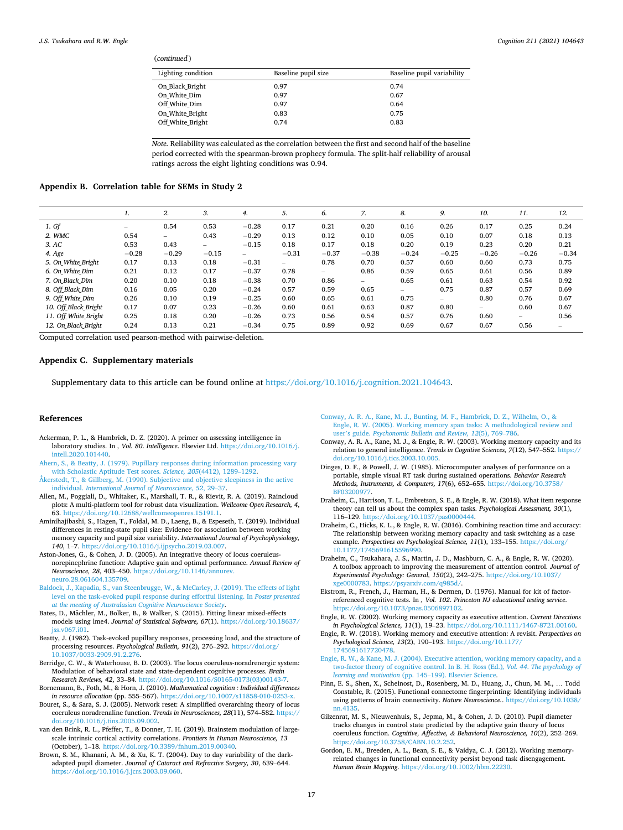<span id="page-16-0"></span>(*continued* )

| Baseline pupil size | Baseline pupil variability |
|---------------------|----------------------------|
| 0.97                | 0.74                       |
| 0.97                | 0.67                       |
| 0.97                | 0.64                       |
| 0.83                | 0.75                       |
| 0.74                | 0.83                       |
|                     |                            |

*Note.* Reliability was calculated as the correlation between the first and second half of the baseline period corrected with the spearman-brown prophecy formula. The split-half reliability of arousal ratings across the eight lighting conditions was 0.94.

## **Appendix B. Correlation table for SEMs in Study 2**

|                      | 1.      | 2.                       | 3.                       | 4.                       | 5.                       | 6.                       | 7.      | 8.                       | 9.              | 10.     | 11.     | 12.     |
|----------------------|---------|--------------------------|--------------------------|--------------------------|--------------------------|--------------------------|---------|--------------------------|-----------------|---------|---------|---------|
| 1. Gf                | -       | 0.54                     | 0.53                     | $-0.28$                  | 0.17                     | 0.21                     | 0.20    | 0.16                     | 0.26            | 0.17    | 0.25    | 0.24    |
| 2. WMC               | 0.54    | $\overline{\phantom{0}}$ | 0.43                     | $-0.29$                  | 0.13                     | 0.12                     | 0.10    | 0.05                     | 0.10            | 0.07    | 0.18    | 0.13    |
| 3.AC                 | 0.53    | 0.43                     | $\overline{\phantom{0}}$ | $-0.15$                  | 0.18                     | 0.17                     | 0.18    | 0.20                     | 0.19            | 0.23    | 0.20    | 0.21    |
| 4. Age               | $-0.28$ | $-0.29$                  | $-0.15$                  | $\overline{\phantom{0}}$ | $-0.31$                  | $-0.37$                  | $-0.38$ | $-0.24$                  | $-0.25$         | $-0.26$ | $-0.26$ | $-0.34$ |
| 5. On White Bright   | 0.17    | 0.13                     | 0.18                     | $-0.31$                  | $\overline{\phantom{0}}$ | 0.78                     | 0.70    | 0.57                     | 0.60            | 0.60    | 0.73    | 0.75    |
| 6. On White Dim      | 0.21    | 0.12                     | 0.17                     | $-0.37$                  | 0.78                     | $\overline{\phantom{0}}$ | 0.86    | 0.59                     | 0.65            | 0.61    | 0.56    | 0.89    |
| 7. On Black Dim      | 0.20    | 0.10                     | 0.18                     | $-0.38$                  | 0.70                     | 0.86                     | $-$     | 0.65                     | 0.61            | 0.63    | 0.54    | 0.92    |
| 8. Off_Black_Dim     | 0.16    | 0.05                     | 0.20                     | $-0.24$                  | 0.57                     | 0.59                     | 0.65    | $\overline{\phantom{0}}$ | 0.75            | 0.87    | 0.57    | 0.69    |
| 9. Off_White_Dim     | 0.26    | 0.10                     | 0.19                     | $-0.25$                  | 0.60                     | 0.65                     | 0.61    | 0.75                     | $\qquad \qquad$ | 0.80    | 0.76    | 0.67    |
| 10. Off Black Bright | 0.17    | 0.07                     | 0.23                     | $-0.26$                  | 0.60                     | 0.61                     | 0.63    | 0.87                     | 0.80            | -       | 0.60    | 0.67    |
| 11. Off White Bright | 0.25    | 0.18                     | 0.20                     | $-0.26$                  | 0.73                     | 0.56                     | 0.54    | 0.57                     | 0.76            | 0.60    | $-$     | 0.56    |
| 12. On Black Bright  | 0.24    | 0.13                     | 0.21                     | $-0.34$                  | 0.75                     | 0.89                     | 0.92    | 0.69                     | 0.67            | 0.67    | 0.56    | -       |

Computed correlation used pearson-method with pairwise-deletion.

#### **Appendix C. Supplementary materials**

Supplementary data to this article can be found online at [https://doi.org/10.1016/j.cognition.2021.104643.](https://doi.org/10.1016/j.cognition.2021.104643)

#### **References**

- Ackerman, P. L., & Hambrick, D. Z. (2020). A primer on assessing intelligence in laboratory studies. In *, Vol. 80*. *Intelligence*. Elsevier Ltd. [https://doi.org/10.1016/j.](https://doi.org/10.1016/j.intell.2020.101440)  [intell.2020.101440.](https://doi.org/10.1016/j.intell.2020.101440)
- [Ahern, S., & Beatty, J. \(1979\). Pupillary responses during information processing vary](http://refhub.elsevier.com/S0010-0277(21)00062-7/rf0010)  [with Scholastic Aptitude Test scores.](http://refhub.elsevier.com/S0010-0277(21)00062-7/rf0010) *Science, 205*(4412), 1289–1292.
- [Åkerstedt, T., & Gillberg, M. \(1990\). Subjective and objective sleepiness in the active](http://refhub.elsevier.com/S0010-0277(21)00062-7/rf0015)  individual. *[International Journal of Neuroscience, 52](http://refhub.elsevier.com/S0010-0277(21)00062-7/rf0015)*, 29–37.
- Allen, M., Poggiali, D., Whitaker, K., Marshall, T. R., & Kievit, R. A. (2019). Raincloud plots: A multi-platform tool for robust data visualization. *Wellcome Open Research, 4*, 63. [https://doi.org/10.12688/wellcomeopenres.15191.1.](https://doi.org/10.12688/wellcomeopenres.15191.1)
- Aminihajibashi, S., Hagen, T., Foldal, M. D., Laeng, B., & Espeseth, T. (2019). Individual differences in resting-state pupil size: Evidence for association between working memory capacity and pupil size variability. *International Journal of Psychophysiology, 140*, 1–7. [https://doi.org/10.1016/j.ijpsycho.2019.03.007.](https://doi.org/10.1016/j.ijpsycho.2019.03.007)
- Aston-Jones, G., & Cohen, J. D. (2005). An integrative theory of locus coeruleusnorepinephrine function: Adaptive gain and optimal performance. *Annual Review of Neuroscience, 28*, 403–450. [https://doi.org/10.1146/annurev.](https://doi.org/10.1146/annurev.neuro.28.061604.135709)  [neuro.28.061604.135709](https://doi.org/10.1146/annurev.neuro.28.061604.135709).
- [Baldock, J., Kapadia, S., van Steenbrugge, W., & McCarley, J. \(2019\). The effects of light](http://refhub.elsevier.com/S0010-0277(21)00062-7/rf0035)  [level on the task-evoked pupil response during effortful listening. In](http://refhub.elsevier.com/S0010-0277(21)00062-7/rf0035) *Poster presented [at the meeting of Australasian Cognitive Neuroscience Society](http://refhub.elsevier.com/S0010-0277(21)00062-7/rf0035)*.
- Bates, D., Mächler, M., Bolker, B., & Walker, S. (2015). Fitting linear mixed-effects models using lme4. *Journal of Statistical Software, 67*(1). [https://doi.org/10.18637/](https://doi.org/10.18637/jss.v067.i01)   $i$ ss.  $v$ 067 $i$ 01.
- Beatty, J. (1982). Task-evoked pupillary responses, processing load, and the structure of processing resources. *Psychological Bulletin, 91*(2), 276–292. [https://doi.org/](https://doi.org/10.1037/0033-2909.91.2.276) [10.1037/0033-2909.91.2.276.](https://doi.org/10.1037/0033-2909.91.2.276)
- Berridge, C. W., & Waterhouse, B. D. (2003). The locus coeruleus-noradrenergic system: Modulation of behavioral state and state-dependent cognitive processes. *Brain Research Reviews, 42*, 33–84. [https://doi.org/10.1016/S0165-0173\(03\)00143-7](https://doi.org/10.1016/S0165-0173(03)00143-7).
- Bornemann, B., Foth, M., & Horn, J. (2010). *Mathematical cognition : Individual differences in resource allocation* (pp. 555–567). https://doi.org/10.1007/s11858-010-0253
- Bouret, S., & Sara, S. J. (2005). Network reset: A simplified overarching theory of locus coeruleus noradrenaline function. *Trends in Neurosciences, 28*(11), 574–582. [https://](https://doi.org/10.1016/j.tins.2005.09.002)  [doi.org/10.1016/j.tins.2005.09.002.](https://doi.org/10.1016/j.tins.2005.09.002)
- van den Brink, R. L., Pfeffer, T., & Donner, T. H. (2019). Brainstem modulation of largescale intrinsic cortical activity correlations. *Frontiers in Human Neuroscience, 13*  (October), 1–18. [https://doi.org/10.3389/fnhum.2019.00340.](https://doi.org/10.3389/fnhum.2019.00340)
- Brown, S. M., Khanani, A. M., & Xu, K. T. (2004). Day to day variability of the darkadapted pupil diameter. *Journal of Cataract and Refractive Surgery, 30*, 639–644. [https://doi.org/10.1016/j.jcrs.2003.09.060.](https://doi.org/10.1016/j.jcrs.2003.09.060)
- [Conway, A. R. A., Kane, M. J., Bunting, M. F., Hambrick, D. Z., Wilhelm, O., &](http://refhub.elsevier.com/S0010-0277(21)00062-7/rf0075) [Engle, R. W. \(2005\). Working memory span tasks: A methodological review and](http://refhub.elsevier.com/S0010-0277(21)00062-7/rf0075)  user's guide. *[Psychonomic Bulletin and Review, 12](http://refhub.elsevier.com/S0010-0277(21)00062-7/rf0075)*(5), 769–786.
- Conway, A. R. A., Kane, M. J., & Engle, R. W. (2003). Working memory capacity and its relation to general intelligence. *Trends in Cognitive Sciences, 7*(12), 547–552. [https://](https://doi.org/10.1016/j.tics.2003.10.005)  [doi.org/10.1016/j.tics.2003.10.005](https://doi.org/10.1016/j.tics.2003.10.005).
- Dinges, D. F., & Powell, J. W. (1985). Microcomputer analyses of performance on a portable, simple visual RT task during sustained operations. *Behavior Research Methods, Instruments, & Computers, 17*(6), 652–655. [https://doi.org/10.3758/](https://doi.org/10.3758/BF03200977)  [BF03200977.](https://doi.org/10.3758/BF03200977)
- Draheim, C., Harrison, T. L., Embretson, S. E., & Engle, R. W. (2018). What item response theory can tell us about the complex span tasks. *Psychological Assessment, 30*(1), 116–129. <https://doi.org/10.1037/pas0000444>.
- Draheim, C., Hicks, K. L., & Engle, R. W. (2016). Combining reaction time and accuracy: The relationship between working memory capacity and task switching as a case example. *Perspectives on Psychological Science, 11*(1), 133–155. [https://doi.org/](https://doi.org/10.1177/1745691615596990)  [10.1177/1745691615596990](https://doi.org/10.1177/1745691615596990).
- Draheim, C., Tsukahara, J. S., Martin, J. D., Mashburn, C. A., & Engle, R. W. (2020). A toolbox approach to improving the measurement of attention control. *Journal of Experimental Psychology: General, 150*(2), 242–275. [https://doi.org/10.1037/](https://doi.org/10.1037/xge0000783)  [xge0000783](https://doi.org/10.1037/xge0000783). [https://psyarxiv.com/q985d/.](https://psyarxiv.com/q985d/)
- Ekstrom, R., French, J., Harman, H., & Dermen, D. (1976). Manual for kit of factorreferenced cognitive tests. In *, Vol. 102*. *Princeton NJ educational testing service*.  $\frac{h}{1000}$  //doi.org/10.1073/pnas.0506897102.
- Engle, R. W. (2002). Working memory capacity as executive attention. *Current Directions in Psychological Science, 11*(1), 19–23. <https://doi.org/10.1111/1467-8721.00160>.
- Engle, R. W. (2018). Working memory and executive attention: A revisit. *Perspectives on Psychological Science, 13*(2), 190–193. [https://doi.org/10.1177/](https://doi.org/10.1177/1745691617720478)  [1745691617720478.](https://doi.org/10.1177/1745691617720478)
- [Engle, R. W., & Kane, M. J. \(2004\). Executive attention, working memory capacity, and a](http://refhub.elsevier.com/S0010-0277(21)00062-7/rf0120)  [two-factor theory of cognitive control. In B. H. Ross \(Ed.\)](http://refhub.elsevier.com/S0010-0277(21)00062-7/rf0120)*, Vol. 44*. *The psychology of [learning and motivation](http://refhub.elsevier.com/S0010-0277(21)00062-7/rf0120)* (pp. 145–199). Elsevier Science.
- Finn, E. S., Shen, X., Scheinost, D., Rosenberg, M. D., Huang, J., Chun, M. M., … Todd Constable, R. (2015). Functional connectome fingerprinting: Identifying individuals using patterns of brain connectivity. *Nature Neuroscience.*. [https://doi.org/10.1038/](https://doi.org/10.1038/nn.4135)  nn.41
- Gilzenrat, M. S., Nieuwenhuis, S., Jepma, M., & Cohen, J. D. (2010). Pupil diameter tracks changes in control state predicted by the adaptive gain theory of locus coeruleus function. *Cognitive, Affective, & Behavioral Neuroscience, 10*(2), 252–269. https://doi.org/10.3758/CABN.10.2.252
- Gordon, E. M., Breeden, A. L., Bean, S. E., & Vaidya, C. J. (2012). Working memoryrelated changes in functional connectivity persist beyond task disengagement. *Human Brain Mapping*. <https://doi.org/10.1002/hbm.22230>.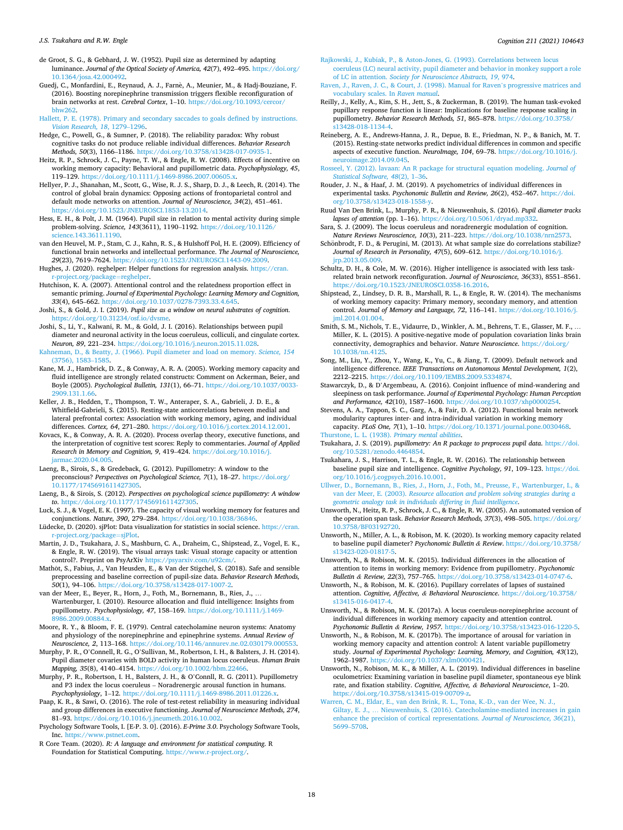- <span id="page-17-0"></span>de Groot, S. G., & Gebhard, J. W. (1952). Pupil size as determined by adapting luminance. *Journal of the Optical Society of America, 42*(7), 492–495. [https://doi.org/](https://doi.org/10.1364/josa.42.000492)  [10.1364/josa.42.000492](https://doi.org/10.1364/josa.42.000492).
- Guedj, C., Monfardini, E., Reynaud, A. J., Farnè, A., Meunier, M., & Hadj-Bouziane, F. (2016). Boosting norepinephrine transmission triggers flexible reconfiguration of brain networks at rest. *Cerebral Cortex*, 1–10. [https://doi.org/10.1093/cercor/](https://doi.org/10.1093/cercor/bhw262)
- [bhw262.](https://doi.org/10.1093/cercor/bhw262) [Hallett, P. E. \(1978\). Primary and secondary saccades to goals defined by instructions.](http://refhub.elsevier.com/S0010-0277(21)00062-7/rf0150)  *[Vision Research, 18](http://refhub.elsevier.com/S0010-0277(21)00062-7/rf0150), 1279-129*
- Hedge, C., Powell, G., & Sumner, P. (2018). The reliability paradox: Why robust cognitive tasks do not produce reliable individual differences. *Behavior Research Methods, 50*(3), 1166–1186. <https://doi.org/10.3758/s13428-017-0935-1>.
- Heitz, R. P., Schrock, J. C., Payne, T. W., & Engle, R. W. (2008). Effects of incentive on working memory capacity: Behavioral and pupillometric data. *Psychophysiology, 45*, 119-129. https://doi.org/10.1111/i.1469-8986.2007.00605.x. 119-129. https://doi.org/10.1111/j.1469-8
- Hellyer, P. J., Shanahan, M., Scott, G., Wise, R. J. S., Sharp, D. J., & Leech, R. (2014). The control of global brain dynamics: Opposing actions of frontoparietal control and default mode networks on attention. *Journal of Neuroscience, 34*(2), 451–461. /doi.org/10.1523/JNEUROSCI.1853-13.2014.
- Hess, E. H., & Polt, J. M. (1964). Pupil size in relation to mental activity during simple problem-solving. *Science, 143*(3611), 1190–1192. [https://doi.org/10.1126/](https://doi.org/10.1126/science.143.3611.1190)  [science.143.3611.1190.](https://doi.org/10.1126/science.143.3611.1190)
- van den Heuvel, M. P., Stam, C. J., Kahn, R. S., & Hulshoff Pol, H. E. (2009). Efficiency of functional brain networks and intellectual performance. *The Journal of Neuroscience, 29*(23), 7619–7624. [https://doi.org/10.1523/JNEUROSCI.1443-09.2009.](https://doi.org/10.1523/JNEUROSCI.1443-09.2009)
- Hughes, J. (2020). reghelper: Helper functions for regression analysis. [https://cran.](https://cran.r-project.org/package=reghelper) ect.org/package=reghelper.
- Hutchison, K. A. (2007). Attentional control and the relatedness proportion effect in semantic priming. *Journal of Experimental Psychology: Learning Memory and Cognition, 33*(4), 645–662. <https://doi.org/10.1037/0278-7393.33.4.645>.
- Joshi, S., & Gold, J. I. (2019). *Pupil size as a window on neural substrates of cognition*. <https://doi.org/10.31234/osf.io/dvsme>.
- Joshi, S., Li, Y., Kalwani, R. M., & Gold, J. I. (2016). Relationships between pupil diameter and neuronal activity in the locus coeruleus, colliculi, and cingulate cortex. *Neuron, 89*, 221–234. [https://doi.org/10.1016/j.neuron.2015.11.028.](https://doi.org/10.1016/j.neuron.2015.11.028)
- [Kahneman, D., & Beatty, J. \(1966\). Pupil diameter and load on memory.](http://refhub.elsevier.com/S0010-0277(21)00062-7/rf0200) *Science, 154*  [\(3756\), 1583](http://refhub.elsevier.com/S0010-0277(21)00062-7/rf0200)–1585.
- Kane, M. J., Hambrick, D. Z., & Conway, A. R. A. (2005). Working memory capacity and fluid intelligence are strongly related constructs: Comment on Ackerman, Beier, and Boyle (2005). *Psychological Bulletin, 131*(1), 66–71. [https://doi.org/10.1037/0033-](https://doi.org/10.1037/0033-2909.131.1.66) [2909.131.1.66.](https://doi.org/10.1037/0033-2909.131.1.66)
- Keller, J. B., Hedden, T., Thompson, T. W., Anteraper, S. A., Gabrieli, J. D. E., & Whitfield-Gabrieli, S. (2015). Resting-state anticorrelations between medial and lateral prefrontal cortex: Association with working memory, aging, and individual differences. *Cortex, 64*, 271–280. [https://doi.org/10.1016/j.cortex.2014.12.001.](https://doi.org/10.1016/j.cortex.2014.12.001)
- Kovacs, K., & Conway, A. R. A. (2020). Process overlap theory, executive functions, and the interpretation of cognitive test scores: Reply to commentaries. *Journal of Applied Research in Memory and Cognition, 9*, 419–424. [https://doi.org/10.1016/j.](https://doi.org/10.1016/j.jarmac.2020.04.005)  [jarmac.2020.04.005](https://doi.org/10.1016/j.jarmac.2020.04.005).
- Laeng, B., Sirois, S., & Gredeback, G. (2012). Pupillometry: A window to the preconscious? *Perspectives on Psychological Science, 7*(1), 18–27. [https://doi.org/](https://doi.org/10.1177/1745691611427305) [10.1177/1745691611427305](https://doi.org/10.1177/1745691611427305).
- Laeng, B., & Sirois, S. (2012). *Perspectives on psychological science pupillometry: A window to*. [https://doi.org/10.1177/1745691611427305.](https://doi.org/10.1177/1745691611427305)
- Luck, S. J., & Vogel, E. K. (1997). The capacity of visual working memory for features and conjunctions. *Nature, 390*, 279–284. <https://doi.org/10.1038/36846>.
- Lüdecke, D. (2020). sjPlot: Data visualization for statistics in social science. [https://cran.](https://cran.r-project.org/package=sjPlot)  [r-project.org/package](https://cran.r-project.org/package=sjPlot)=sjPlot.
- Martin, J. D., Tsukahara, J. S., Mashburn, C. A., Draheim, C., Shipstead, Z., Vogel, E. K., & Engle, R. W. (2019). The visual arrays task: Visual storage capacity or attention control?. Preprint on PsyArXiv [https://psyarxiv.com/u92cm/.](https://psyarxiv.com/u92cm/)
- Mathôt, S., Fabius, J., Van Heusden, E., & Van der Stigchel, S. (2018). Safe and sensible preprocessing and baseline correction of pupil-size data. *Behavior Research Methods, 50*(1), 94–106. <https://doi.org/10.3758/s13428-017-1007-2>.
- van der Meer, E., Beyer, R., Horn, J., Foth, M., Bornemann, B., Ries, J., … Wartenburger, I. (2010). Resource allocation and fluid intelligence: Insights from pupillometry. *Psychophysiology, 47*, 158–169. [https://doi.org/10.1111/j.1469-](https://doi.org/10.1111/j.1469-8986.2009.00884.x)  [8986.2009.00884.x.](https://doi.org/10.1111/j.1469-8986.2009.00884.x)
- Moore, R. Y., & Bloom, F. E. (1979). Central catecholamine neuron systems: Anatomy and physiology of the norepinephrine and epinephrine systems. *Annual Review of Neuroscience, 2*, 113–168.<https://doi.org/10.1146/annurev.ne.02.030179.000553>.
- Murphy, P. R., O'Connell, R. G., O'Sullivan, M., Robertson, I. H., & Balsters, J. H. (2014). Pupil diameter covaries with BOLD activity in human locus coeruleus. *Human Brain Mapping, 35*(8), 4140–4154. [https://doi.org/10.1002/hbm.22466.](https://doi.org/10.1002/hbm.22466)
- Murphy, P. R., Robertson, I. H., Balsters, J. H., & O'Connll, R. G. (2011). Pupillometry and P3 index the locus coeruleus – Noradrenergic arousal function in humans. *Psychophysiology*, 1–12. [https://doi.org/10.1111/j.1469-8986.2011.01226.x.](https://doi.org/10.1111/j.1469-8986.2011.01226.x)
- Paap, K. R., & Sawi, O. (2016). The role of test-retest reliability in measuring individual and group differences in executive functioning. *Journal of Neuroscience Methods, 274*, 81–93. [https://doi.org/10.1016/j.jneumeth.2016.10.002.](https://doi.org/10.1016/j.jneumeth.2016.10.002)
- Psychology Software Tools, I. [E-P. 3. 0]. (2016). *E-Prime 3.0*. Psychology Software Tools, Inc. [https://www.pstnet.com.](https://www.pstnet.com)
- R Core Team. (2020). *R: A language and environment for statistical computing*. R Foundation for Statistical Computing. <https://www.r-project.org/>.
- [Rajkowski, J., Kubiak, P., & Aston-Jones, G. \(1993\). Correlations between locus](http://refhub.elsevier.com/S0010-0277(21)00062-7/rf0285) [coeruleus \(LC\) neural activity, pupil diameter and behavior in monkey support a role](http://refhub.elsevier.com/S0010-0277(21)00062-7/rf0285)  of LC in attention. *[Society for Neuroscience Abstracts, 19](http://refhub.elsevier.com/S0010-0277(21)00062-7/rf0285)*, 974.
- [Raven, J., Raven, J. C., & Court, J. \(1998\). Manual for Raven](http://refhub.elsevier.com/S0010-0277(21)00062-7/rf0290)'s progressive matrices and [vocabulary scales. In](http://refhub.elsevier.com/S0010-0277(21)00062-7/rf0290) *Raven manual*.
- Reilly, J., Kelly, A., Kim, S. H., Jett, S., & Zuckerman, B. (2019). The human task-evoked pupillary response function is linear: Implications for baseline response scaling in pupillometry. *Behavior Research Methods*, 51, 865-878. https://doi.org/10.375 [s13428-018-1134-4.](https://doi.org/10.3758/s13428-018-1134-4)
- Reineberg, A. E., Andrews-Hanna, J. R., Depue, B. E., Friedman, N. P., & Banich, M. T. (2015). Resting-state networks predict individual differences in common and specific aspects of executive function. *NeuroImage, 104*, 69–78. [https://doi.org/10.1016/j.](https://doi.org/10.1016/j.neuroimage.2014.09.045) [neuroimage.2014.09.045.](https://doi.org/10.1016/j.neuroimage.2014.09.045)
- [Rosseel, Y. \(2012\). lavaan: An R package for structural equation modeling.](http://refhub.elsevier.com/S0010-0277(21)00062-7/rf0305) *Journal of [Statistical Software, 48](http://refhub.elsevier.com/S0010-0277(21)00062-7/rf0305)*(2), 1–36.
- Rouder, J. N., & Haaf, J. M. (2019). A psychometrics of individual differences in experimental tasks. *Psychonomic Bulletin and Review, 26*(2), 452–467. [https://doi.](https://doi.org/10.3758/s13423-018-1558-y) [org/10.3758/s13423-018-1558-y.](https://doi.org/10.3758/s13423-018-1558-y)
- Ruud Van Den Brink, L., Murphy, P. R., & Nieuwenhuis, S. (2016). *Pupil diameter tracks lapses of attention* (pp. 1–16). [https://doi.org/10.5061/dryad.mp332.](https://doi.org/10.5061/dryad.mp332)
- Sara, S. J. (2009). The locus coeruleus and noradrenergic modulation of cognition. *Nature Reviews Neuroscience, 10*(3), 211–223. [https://doi.org/10.1038/nrn2573.](https://doi.org/10.1038/nrn2573)
- Schönbrodt, F. D., & Perugini, M. (2013). At what sample size do correlations stabilize? *Journal of Research in Personality, 47*(5), 609–612. [https://doi.org/10.1016/j.](https://doi.org/10.1016/j.jrp.2013.05.009) [jrp.2013.05.009](https://doi.org/10.1016/j.jrp.2013.05.009).
- Schultz, D. H., & Cole, M. W. (2016). Higher intelligence is associated with less taskrelated brain network reconfiguration. *Journal of Neuroscience, 36*(33), 8551–8561. <https://doi.org/10.1523/JNEUROSCI.0358-16.2016>.
- Shipstead, Z., Lindsey, D. R. B., Marshall, R. L., & Engle, R. W. (2014). The mechanisms of working memory capacity: Primary memory, secondary memory, and attention control. *Journal of Memory and Language, 72*, 116–141. [https://doi.org/10.1016/j.](https://doi.org/10.1016/j.jml.2014.01.004)  [jml.2014.01.004](https://doi.org/10.1016/j.jml.2014.01.004).
- Smith, S. M., Nichols, T. E., Vidaurre, D., Winkler, A. M., Behrens, T. E., Glasser, M. F., … Miller, K. L. (2015). A positive-negative mode of population covariation links brain connectivity, demographics and behavior. *Nature Neuroscience*. [https://doi.org/](https://doi.org/10.1038/nn.4125) [10.1038/nn.4125](https://doi.org/10.1038/nn.4125).
- Song, M., Liu, Y., Zhou, Y., Wang, K., Yu, C., & Jiang, T. (2009). Default network and intelligence difference. *IEEE Transactions on Autonomous Mental Development, 1*(2), 2212–2215. [https://doi.org/10.1109/IEMBS.2009.5334874.](https://doi.org/10.1109/IEMBS.2009.5334874)
- Stawarczyk, D., & D'Argembeau, A. (2016). Conjoint influence of mind-wandering and sleepiness on task performance. *Journal of Experimental Psychology: Human Perception and Performance, 42*(10), 1587–1600. <https://doi.org/10.1037/xhp0000254>.
- Stevens, A. A., Tappon, S. C., Garg, A., & Fair, D. A. (2012). Functional brain network modularity captures inter- and intra-individual variation in working memory capacity. *PLoS One, 7*(1), 1–10. <https://doi.org/10.1371/journal.pone.0030468>. [Thurstone, L. L. \(1938\).](http://refhub.elsevier.com/S0010-0277(21)00062-7/rf0360) *Primary mental abilities*.
- Tsukahara, J. S. (2019). *pupillometry: An R package to preprocess pupil data*. [https://doi.](https://doi.org/10.5281/zenodo.4464854) [org/10.5281/zenodo.4464854.](https://doi.org/10.5281/zenodo.4464854)
- Tsukahara, J. S., Harrison, T. L., & Engle, R. W. (2016). The relationship between baseline pupil size and intelligence. *Cognitive Psychology, 91*, 109–123. [https://doi.](https://doi.org/10.1016/j.cogpsych.2016.10.001)  [org/10.1016/j.cogpsych.2016.10.001.](https://doi.org/10.1016/j.cogpsych.2016.10.001)
- [Ullwer, D., Bornemann, B., Ries, J., Horn, J., Foth, M., Preusse, F., Wartenburger, I., &](http://refhub.elsevier.com/S0010-0277(21)00062-7/rf0375) van der Meer, E. (2003). *[Resource allocation and problem solving strategies during a](http://refhub.elsevier.com/S0010-0277(21)00062-7/rf0375) [geometric analogy task in individuals differing in fluid intelligence](http://refhub.elsevier.com/S0010-0277(21)00062-7/rf0375)*.
- Unsworth, N., Heitz, R. P., Schrock, J. C., & Engle, R. W. (2005). An automated version of the operation span task. *Behavior Research Methods, 37*(3), 498–505. [https://doi.org/](https://doi.org/10.3758/BF03192720)  [10.3758/BF03192720](https://doi.org/10.3758/BF03192720).
- Unsworth, N., Miller, A. L., & Robison, M. K. (2020). Is working memory capacity related to baseline pupil diameter? *Psychonomic Bulletin & Review*. [https://doi.org/10.3758/](https://doi.org/10.3758/s13423-020-01817-5)  [s13423-020-01817-5](https://doi.org/10.3758/s13423-020-01817-5).
- Unsworth, N., & Robison, M. K. (2015). Individual differences in the allocation of attention to items in working memory: Evidence from pupillometry. *Psychonomic Bulletin & Review, 22*(3), 757–765. [https://doi.org/10.3758/s13423-014-0747-6.](https://doi.org/10.3758/s13423-014-0747-6)
- Unsworth, N., & Robison, M. K. (2016). Pupillary correlates of lapses of sustained attention. *Cognitive, Affective, & Behavioral Neuroscience*. [https://doi.org/10.3758/](https://doi.org/10.3758/s13415-016-0417-4)  [s13415-016-0417-4.](https://doi.org/10.3758/s13415-016-0417-4)
- Unsworth, N., & Robison, M. K. (2017a). A locus coeruleus-norepinephrine account of individual differences in working memory capacity and attention control. *Psychonomic Bulletin & Review, 1957*. [https://doi.org/10.3758/s13423-016-1220-5.](https://doi.org/10.3758/s13423-016-1220-5)
- Unsworth, N., & Robison, M. K. (2017b). The importance of arousal for variation in working memory capacity and attention control: A latent variable pupillometry study. *Journal of Experimental Psychology: Learning, Memory, and Cognition, 43*(12), 1962–1987. [https://doi.org/10.1037/xlm0000421.](https://doi.org/10.1037/xlm0000421)
- Unsworth, N., Robison, M. K., & Miller, A. L. (2019). Individual differences in baseline oculometrics: Examining variation in baseline pupil diameter, spontaneous eye blink rate, and fixation stability. *Cognitive, Affective, & Behavioral Neuroscience*, 1–20. [https://doi.org/10.3758/s13415-019-00709-z.](https://doi.org/10.3758/s13415-019-00709-z)
- [Warren, C. M., Eldar, E., van den Brink, R. L., Tona, K.-D., van der Wee, N. J.,](http://refhub.elsevier.com/S0010-0277(21)00062-7/rf0415) Giltay, E. J., … [Nieuwenhuis, S. \(2016\). Catecholamine-mediated increases in gain](http://refhub.elsevier.com/S0010-0277(21)00062-7/rf0415) [enhance the precision of cortical representations.](http://refhub.elsevier.com/S0010-0277(21)00062-7/rf0415) *Journal of Neuroscience, 36*(21), [5699](http://refhub.elsevier.com/S0010-0277(21)00062-7/rf0415)–5708.